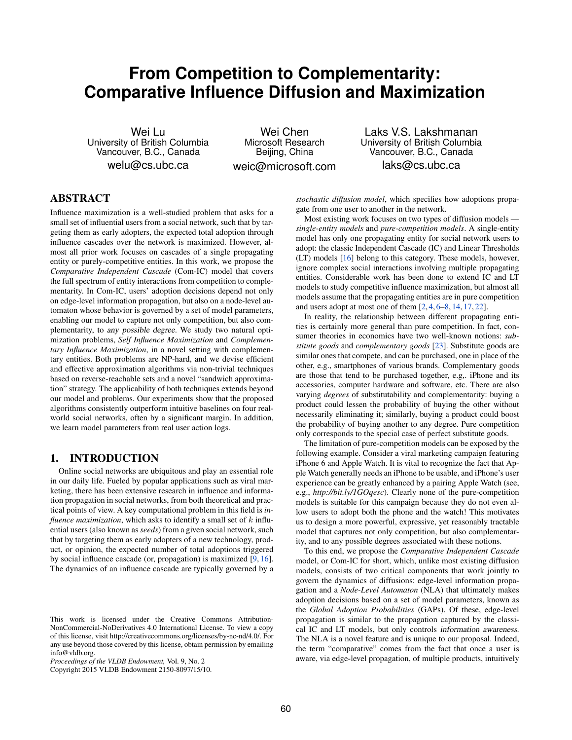# **From Competition to Complementarity: Comparative Influence Diffusion and Maximization**

Wei Lu University of British Columbia Vancouver, B.C., Canada welu@cs.ubc.ca

Wei Chen Microsoft Research Beijing, China weic@microsoft.com

Laks V.S. Lakshmanan University of British Columbia Vancouver, B.C., Canada laks@cs.ubc.ca

# ABSTRACT

Influence maximization is a well-studied problem that asks for a small set of influential users from a social network, such that by targeting them as early adopters, the expected total adoption through influence cascades over the network is maximized. However, almost all prior work focuses on cascades of a single propagating entity or purely-competitive entities. In this work, we propose the *Comparative Independent Cascade* (Com-IC) model that covers the full spectrum of entity interactions from competition to complementarity. In Com-IC, users' adoption decisions depend not only on edge-level information propagation, but also on a node-level automaton whose behavior is governed by a set of model parameters, enabling our model to capture not only competition, but also complementarity, to *any possible degree*. We study two natural optimization problems, *Self Influence Maximization* and *Complementary Influence Maximization*, in a novel setting with complementary entities. Both problems are NP-hard, and we devise efficient and effective approximation algorithms via non-trivial techniques based on reverse-reachable sets and a novel "sandwich approximation" strategy. The applicability of both techniques extends beyond our model and problems. Our experiments show that the proposed algorithms consistently outperform intuitive baselines on four realworld social networks, often by a significant margin. In addition, we learn model parameters from real user action logs.

# 1. INTRODUCTION

Online social networks are ubiquitous and play an essential role in our daily life. Fueled by popular applications such as viral marketing, there has been extensive research in influence and information propagation in social networks, from both theoretical and practical points of view. A key computational problem in this field is *influence maximization*, which asks to identify a small set of *k* influential users (also known as *seeds*) from a given social network, such that by targeting them as early adopters of a new technology, product, or opinion, the expected number of total adoptions triggered by social influence cascade (or, propagation) is maximized [\[9,](#page-11-0) [16\]](#page-11-1). The dynamics of an influence cascade are typically governed by a

Copyright 2015 VLDB Endowment 2150-8097/15/10.

*stochastic diffusion model*, which specifies how adoptions propagate from one user to another in the network.

Most existing work focuses on two types of diffusion models *single-entity models* and *pure-competition models*. A single-entity model has only one propagating entity for social network users to adopt: the classic Independent Cascade (IC) and Linear Thresholds (LT) models [\[16\]](#page-11-1) belong to this category. These models, however, ignore complex social interactions involving multiple propagating entities. Considerable work has been done to extend IC and LT models to study competitive influence maximization, but almost all models assume that the propagating entities are in pure competition and users adopt at most one of them [\[2,](#page-11-2) [4,](#page-11-3) [6–](#page-11-4)[8,](#page-11-5) [14,](#page-11-6) [17,](#page-11-7) [22\]](#page-11-8).

In reality, the relationship between different propagating entities is certainly more general than pure competition. In fact, consumer theories in economics have two well-known notions: *substitute goods* and *complementary goods* [\[23\]](#page-11-9). Substitute goods are similar ones that compete, and can be purchased, one in place of the other, e.g., smartphones of various brands. Complementary goods are those that tend to be purchased together, e.g,. iPhone and its accessories, computer hardware and software, etc. There are also varying *degrees* of substitutability and complementarity: buying a product could lessen the probability of buying the other without necessarily eliminating it; similarly, buying a product could boost the probability of buying another to any degree. Pure competition only corresponds to the special case of perfect substitute goods.

The limitation of pure-competition models can be exposed by the following example. Consider a viral marketing campaign featuring iPhone 6 and Apple Watch. It is vital to recognize the fact that Apple Watch generally needs an iPhone to be usable, and iPhone's user experience can be greatly enhanced by a pairing Apple Watch (see, e.g., *http://bit.ly/1GOqesc*). Clearly none of the pure-competition models is suitable for this campaign because they do not even allow users to adopt both the phone and the watch! This motivates us to design a more powerful, expressive, yet reasonably tractable model that captures not only competition, but also complementarity, and to any possible degrees associated with these notions.

To this end, we propose the *Comparative Independent Cascade* model, or Com-IC for short, which, unlike most existing diffusion models, consists of two critical components that work jointly to govern the dynamics of diffusions: edge-level information propagation and a *Node-Level Automaton* (NLA) that ultimately makes adoption decisions based on a set of model parameters, known as the *Global Adoption Probabilities* (GAPs). Of these, edge-level propagation is similar to the propagation captured by the classical IC and LT models, but only controls *information awareness*. The NLA is a novel feature and is unique to our proposal. Indeed, the term "comparative" comes from the fact that once a user is aware, via edge-level propagation, of multiple products, intuitively

This work is licensed under the Creative Commons Attribution-NonCommercial-NoDerivatives 4.0 International License. To view a copy of this license, visit http://creativecommons.org/licenses/by-nc-nd/4.0/. For any use beyond those covered by this license, obtain permission by emailing info@vldb.org.

*Proceedings of the VLDB Endowment,* Vol. 9, No. 2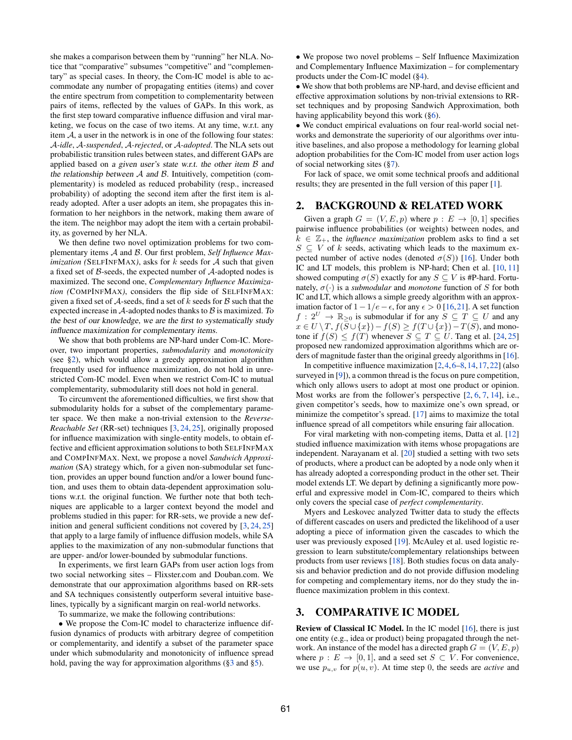she makes a comparison between them by "running" her NLA. Notice that "comparative" subsumes "competitive" and "complementary" as special cases. In theory, the Com-IC model is able to accommodate any number of propagating entities (items) and cover the entire spectrum from competition to complementarity between pairs of items, reflected by the values of GAPs. In this work, as the first step toward comparative influence diffusion and viral marketing, we focus on the case of two items. At any time, w.r.t. any item  $A$ , a user in the network is in one of the following four states: *A-idle*, *A-suspended*, *A-rejected*, or *A-adopted*. The NLA sets out probabilistic transition rules between states, and different GAPs are applied based on *a given user's state w.r.t. the other item B and the relationship between A and B.* Intuitively, competition (complementarity) is modeled as reduced probability (resp., increased probability) of adopting the second item after the first item is already adopted. After a user adopts an item, she propagates this information to her neighbors in the network, making them aware of the item. The neighbor may adopt the item with a certain probability, as governed by her NLA.

We then define two novel optimization problems for two complementary items *A* and *B*. Our first problem, *Self Influence Maximization (*SELFINFMAX*)*, asks for *k* seeds for *A* such that given a fixed set of *B*-seeds, the expected number of *A*-adopted nodes is maximized. The second one, *Complementary Influence Maximization (*COMPINFMAX*)*, considers the flip side of SELFINFMAX: given a fixed set of *A*-seeds, find a set of *k* seeds for *B* such that the expected increase in *A*-adopted nodes thanks to *B* is maximized. *To the best of our knowledge, we are the first to systematically study influence maximization for complementary items.*

We show that both problems are NP-hard under Com-IC. Moreover, two important properties, *submodularity* and *monotonicity* (see [§2\)](#page-1-0), which would allow a greedy approximation algorithm frequently used for influence maximization, do not hold in unrestricted Com-IC model. Even when we restrict Com-IC to mutual complementarity, submodularity still does not hold in general.

To circumvent the aforementioned difficulties, we first show that submodularity holds for a subset of the complementary parameter space. We then make a non-trivial extension to the *Reverse-Reachable Set* (RR-set) techniques [\[3,](#page-11-10) [24,](#page-11-11) [25\]](#page-11-12), originally proposed for influence maximization with single-entity models, to obtain effective and efficient approximation solutions to both SELFINFMAX and COMPINFMAX. Next, we propose a novel *Sandwich Approximation* (SA) strategy which, for a given non-submodular set function, provides an upper bound function and/or a lower bound function, and uses them to obtain data-dependent approximation solutions w.r.t. the original function. We further note that both techniques are applicable to a larger context beyond the model and problems studied in this paper: for RR-sets, we provide a new definition and general sufficient conditions not covered by [\[3,](#page-11-10) [24,](#page-11-11) [25\]](#page-11-12) that apply to a large family of influence diffusion models, while SA applies to the maximization of any non-submodular functions that are upper- and/or lower-bounded by submodular functions.

In experiments, we first learn GAPs from user action logs from two social networking sites – Flixster.com and Douban.com. We demonstrate that our approximation algorithms based on RR-sets and SA techniques consistently outperform several intuitive baselines, typically by a significant margin on real-world networks.

To summarize, we make the following contributions:

*•* We propose the Com-IC model to characterize influence diffusion dynamics of products with arbitrary degree of competition or complementarity, and identify a subset of the parameter space under which submodularity and monotonicity of influence spread hold, paving the way for approximation algorithms ([§3](#page-1-1) and [§5\)](#page-3-0).

*•* We propose two novel problems – Self Influence Maximization and Complementary Influence Maximization – for complementary products under the Com-IC model ([§4\)](#page-3-1).

*•* We show that both problems are NP-hard, and devise efficient and effective approximation solutions by non-trivial extensions to RRset techniques and by proposing Sandwich Approximation, both having applicability beyond this work ([§6\)](#page-4-0).

*•* We conduct empirical evaluations on four real-world social networks and demonstrate the superiority of our algorithms over intuitive baselines, and also propose a methodology for learning global adoption probabilities for the Com-IC model from user action logs of social networking sites ([§7\)](#page-9-0).

For lack of space, we omit some technical proofs and additional results; they are presented in the full version of this paper [\[1\]](#page-11-13).

# <span id="page-1-0"></span>2. BACKGROUND & RELATED WORK

Given a graph  $G = (V, E, p)$  where  $p : E \rightarrow [0, 1]$  specifies pairwise influence probabilities (or weights) between nodes, and  $k \in \mathbb{Z}_+$ , the *influence maximization* problem asks to find a set  $S \subseteq V$  of *k* seeds, activating which leads to the maximum expected number of active nodes (denoted  $\sigma(S)$ ) [\[16\]](#page-11-1). Under both IC and LT models, this problem is NP-hard; Chen et al. [\[10,](#page-11-14) [11\]](#page-11-15) showed computing  $\sigma(S)$  exactly for any  $S \subseteq V$  is #P-hard. Fortunately,  $\sigma(\cdot)$  is a *submodular* and *monotone* function of *S* for both IC and LT, which allows a simple greedy algorithm with an approximation factor of  $1-1/e-\epsilon$ , for any  $\epsilon > 0$  [\[16,](#page-11-1)[21\]](#page-11-16). A set function  $f: 2^U \rightarrow \mathbb{R}_{\geq 0}$  is submodular if for any  $S \subseteq T \subseteq U$  and any  $x \in U \setminus T$ ,  $f(\overline{S} \cup \{x\}) - f(S) \ge f(T \cup \{x\}) - T(S)$ , and monotone if  $f(S) \leq f(T)$  whenever  $S \subseteq T \subseteq U$ . Tang et al. [\[24,](#page-11-11) [25\]](#page-11-12) proposed new randomized approximation algorithms which are orders of magnitude faster than the original greedy algorithms in [\[16\]](#page-11-1).

In competitive influence maximization [\[2,](#page-11-2)[4,](#page-11-3)[6](#page-11-4)[–8,](#page-11-5)[14,](#page-11-6)[17](#page-11-7)[,22\]](#page-11-8) (also surveyed in [\[9\]](#page-11-0)), a common thread is the focus on pure competition, which only allows users to adopt at most one product or opinion. Most works are from the follower's perspective [\[2,](#page-11-2) [6,](#page-11-4) [7,](#page-11-17) [14\]](#page-11-6), i.e., given competitor's seeds, how to maximize one's own spread, or minimize the competitor's spread. [\[17\]](#page-11-7) aims to maximize the total influence spread of all competitors while ensuring fair allocation.

For viral marketing with non-competing items, Datta et al. [\[12\]](#page-11-18) studied influence maximization with items whose propagations are independent. Narayanam et al. [\[20\]](#page-11-19) studied a setting with two sets of products, where a product can be adopted by a node only when it has already adopted a corresponding product in the other set. Their model extends LT. We depart by defining a significantly more powerful and expressive model in Com-IC, compared to theirs which only covers the special case of *perfect complementarity*.

Myers and Leskovec analyzed Twitter data to study the effects of different cascades on users and predicted the likelihood of a user adopting a piece of information given the cascades to which the user was previously exposed [\[19\]](#page-11-20). McAuley et al. used logistic regression to learn substitute/complementary relationships between products from user reviews [\[18\]](#page-11-21). Both studies focus on data analysis and behavior prediction and do not provide diffusion modeling for competing and complementary items, nor do they study the influence maximization problem in this context.

# <span id="page-1-1"></span>3. COMPARATIVE IC MODEL

Review of Classical IC Model. In the IC model [\[16\]](#page-11-1), there is just one entity (e.g., idea or product) being propagated through the network. An instance of the model has a directed graph  $G = (V, E, p)$ where  $p: E \to [0, 1]$ , and a seed set  $S \subset V$ . For convenience, we use  $p_{u,v}$  for  $p(u,v)$ . At time step 0, the seeds are *active* and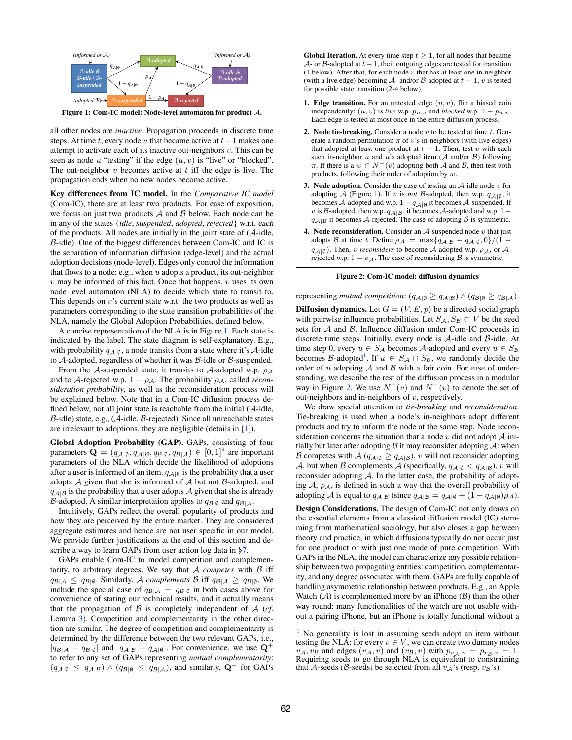<span id="page-2-0"></span>

Figure 1: Com-IC model: Node-level automaton for product *A*.

all other nodes are *inactive*. Propagation proceeds in discrete time steps. At time *t*, every node *u* that became active at  $t-1$  makes one attempt to activate each of its inactive out-neighbors *v*. This can be seen as node  $u$  "testing" if the edge  $(u, v)$  is "live" or "blocked". The out-neighbor *v* becomes active at *t* iff the edge is live. The propagation ends when no new nodes become active.

Key differences from IC model. In the *Comparative IC model* (Com-IC), there are at least two products. For ease of exposition, we focus on just two products *A* and *B* below. Each node can be in any of the states {*idle*, *suspended*, *adopted*, *rejected*} w.r.t. *each* of the products. All nodes are initially in the joint state of (*A*-idle, *B*-idle). One of the biggest differences between Com-IC and IC is the separation of information diffusion (edge-level) and the actual adoption decisions (node-level). Edges only control the information that flows to a node: e.g., when *u* adopts a product, its out-neighbor *v* may be informed of this fact. Once that happens, *v* uses its own node level automaton (NLA) to decide which state to transit to. This depends on *v*'s current state w.r.t. the two products as well as parameters corresponding to the state transition probabilities of the NLA, namely the Global Adoption Probabilities, defined below.

A concise representation of the NLA is in Figure [1.](#page-2-0) Each state is indicated by the label. The state diagram is self-explanatory. E.g., with probability  $q_{\mathcal{A}|\emptyset}$ , a node transits from a state where it's  $\mathcal{A}$ -idle to *A*-adopted, regardless of whether it was *B*-idle or *B*-suspended.

From the *A*-suspended state, it transits to *A*-adopted w.p.  $\rho_A$ and to *A*-rejected w.p.  $1 - \rho_{\mathcal{A}}$ . The probability  $\rho_{\mathcal{A}}$ , called *reconsideration probability*, as well as the reconsideration process will be explained below. Note that in a Com-IC diffusion process defined below, not all joint state is reachable from the initial (*A*-idle, *B*-idle) state, e.g., (*A*-idle, *B*-rejected). Since all unreachable states are irrelevant to adoptions, they are negligible (details in [\[1\]](#page-11-13)).

Global Adoption Probability (GAP). GAPs, consisting of four parameters  $\mathbf{Q} = (q_{\mathcal{A}|\emptyset}, q_{\mathcal{A}|\mathcal{B}}, q_{\mathcal{B}|\emptyset}, q_{\mathcal{B}|\mathcal{A}}) \in [0, 1]^4$  are important parameters of the NLA which decide the likelihood of adoptions after a user is informed of an item.  $q_{\mathcal{A}|\emptyset}$  is the probability that a user adopts *A* given that she is informed of *A* but not *B*-adopted, and  $q_{A|B}$  is the probability that a user adopts *A* given that she is already *B*-adopted. A similar interpretation applies to  $q_{\mathcal{B}|\emptyset}$  and  $q_{\mathcal{B}|\mathcal{A}}$ .

Intuitively, GAPs reflect the overall popularity of products and how they are perceived by the entire market. They are considered aggregate estimates and hence are not user specific in our model. We provide further justifications at the end of this section and describe a way to learn GAPs from user action log data in [§7.](#page-9-0)

GAPs enable Com-IC to model competition and complementarity, to arbitrary degrees. We say that *A competes* with *B* iff  $q_{\mathcal{B}|\mathcal{A}} \leq q_{\mathcal{B}|\emptyset}$ . Similarly, *A complements B* iff  $q_{\mathcal{B}|\mathcal{A}} \geq q_{\mathcal{B}|\emptyset}$ . We include the special case of  $q_{\mathcal{B}|\mathcal{A}} = q_{\mathcal{B}|\emptyset}$  in both cases above for convenience of stating our technical results, and it actually means that the propagation of  $\beta$  is completely independent of  $\mathcal{A}$  (*cf*. Lemma [3\)](#page-4-1). Competition and complementarity in the other direction are similar. The degree of competition and complementarity is determined by the difference between the two relevant GAPs, i.e.,  $|q_{\mathcal{B}|\mathcal{A}} - q_{\mathcal{B}|\emptyset}|$  and  $|q_{\mathcal{A}|\mathcal{B}} - q_{\mathcal{A}|\emptyset}|$ . For convenience, we use  $\mathbf{Q}^+$ to refer to any set of GAPs representing *mutual complementarity*:  $(q_{\mathcal{A}|\emptyset} \leq q_{\mathcal{A}|\mathcal{B}}) \wedge (q_{\mathcal{B}|\emptyset} \leq q_{\mathcal{B}|\mathcal{A}})$ , and similarly,  $\mathbf{Q}^-$  for GAPs

<span id="page-2-2"></span>**Global Iteration.** At every time step  $t \geq 1$ , for all nodes that became *A*- or *B*-adopted at  $t-1$ , their outgoing edges are tested for transition (1 below). After that, for each node *v* that has at least one in-neighbor (with a live edge) becoming  $A$ - and/or  $B$ -adopted at  $t - 1$ ,  $v$  is tested for possible state transition (2-4 below).

- **1. Edge transition.** For an untested edge  $(u, v)$ , flip a biased coin independently:  $(u, v)$  is *live* w.p.  $p_{u,v}$  and *blocked* w.p.  $1 - p_{u,v}$ . Each edge is tested at most once in the entire diffusion process.
- 2. Node tie-breaking. Consider a node *v* to be tested at time *t*. Generate a random permutation  $\pi$  of *v*'s in-neighbors (with live edges) that adopted at least one product at  $t - 1$ . Then, test  $v$  with each such in-neighbor *u* and *u*'s adopted item (*A* and/or *B*) following  $\pi$ . If there is a  $w \in N^-(v)$  adopting both *A* and *B*, then test both products, following their order of adoption by *w*.
- 3. Node adoption. Consider the case of testing an *A*-idle node *v* for adopting  $\overline{A}$  (Figure [1\)](#page-2-0). If *v* is *not B*-adopted, then w.p.  $q_{A|\emptyset}$ , it becomes *A*-adopted and w.p.  $1 - q_{\mathcal{A}|\emptyset}$  it becomes *A*-suspended. If *v* is *B*-adopted, then w.p.  $q_{\mathcal{A}|\mathcal{B}}$ , it becomes  $\mathcal{A}$ -adopted and w.p. 1 –  $q_{A|B}$  it becomes *A*-rejected. The case of adopting *B* is symmetric.
- 4. Node reconsideration. Consider an *A*-suspended node *v* that just adopts *B* at time *t*. Define  $\rho_A = \max\{q_{A|B} - q_{A|\emptyset}, 0\}/(1 - \frac{1}{2})$  $q_{\mathcal{A}|\emptyset}$ ). Then, *v reconsiders* to become *A*-adopted w.p.  $\rho_{\mathcal{A}}$ , or *A*rejected w.p.  $1 - \rho_{\mathcal{A}}$ . The case of reconsidering *B* is symmetric.

#### Figure 2: Com-IC model: diffusion dynamics

representing *mutual competition*:  $(q_{\mathcal{A}|\emptyset} \geq q_{\mathcal{A}|\mathcal{B}}) \land (q_{\mathcal{B}|\emptyset} \geq q_{\mathcal{B}|\mathcal{A}})$ . **Diffusion dynamics.** Let  $G = (V, E, p)$  be a directed social graph with pairwise influence probabilities. Let  $S_A$ ,  $S_B \subset V$  be the seed sets for *A* and *B*. Influence diffusion under Com-IC proceeds in discrete time steps. Initially, every node is *A*-idle and *B*-idle. At time step 0, every  $u \in S_A$  becomes *A*-adopted and every  $u \in S_B$ becomes *B*-adopted<sup>1</sup>. If  $u \in S_A \cap S_B$ , we randomly decide the order of *u* adopting *A* and *B* with a fair coin. For ease of understanding, we describe the rest of the diffusion process in a modular way in Figure [2.](#page-2-2) We use  $N^+(v)$  and  $N^-(v)$  to denote the set of out-neighbors and in-neighbors of *v*, respectively.

We draw special attention to *tie-breaking* and *reconsideration*. Tie-breaking is used when a node's in-neighbors adopt different products and try to inform the node at the same step. Node reconsideration concerns the situation that a node  $v$  did not adopt  $A$  initially but later after adopting  $\beta$  it may reconsider adopting  $\mathcal{A}$ : when *B* competes with *A* ( $q_{A|\emptyset} \geq q_{A|B}$ ), *v* will not reconsider adopting *A*, but when *B* complements *A* (specifically,  $q_{A|\emptyset} < q_{A|B}$ ), *v* will reconsider adopting *A*. In the latter case, the probability of adopting  $A$ ,  $\rho_A$ , is defined in such a way that the overall probability of adopting *A* is equal to  $q_{A|B}$  (since  $q_{A|B} = q_{A|\emptyset} + (1 - q_{A|\emptyset})\rho_A$ ).

Design Considerations. The design of Com-IC not only draws on the essential elements from a classical diffusion model (IC) stemming from mathematical sociology, but also closes a gap between theory and practice, in which diffusions typically do not occur just for one product or with just one mode of pure competition. With GAPs in the NLA, the model can characterize *any* possible relationship between two propagating entities: competition, complementarity, and any degree associated with them. GAPs are fully capable of handling asymmetric relationship between products. E.g., an Apple Watch  $(A)$  is complemented more by an iPhone  $(B)$  than the other way round: many functionalities of the watch are not usable without a pairing iPhone, but an iPhone is totally functional without a

<span id="page-2-1"></span><sup>&</sup>lt;sup>1</sup> No generality is lost in assuming seeds adopt an item without testing the NLA: for every  $v \in V$ , we can create two dummy nodes  $v_A$ ,  $v_B$  and edges  $(v_A, v)$  and  $(v_B, v)$  with  $p_{v_A, v} = p_{v_B, v} = 1$ .<br>Requiring seeds to go through NLA is equivalent to constraining that *A*-seeds (*B*-seeds) be selected from all  $v_A$ 's (resp.  $v_B$ 's).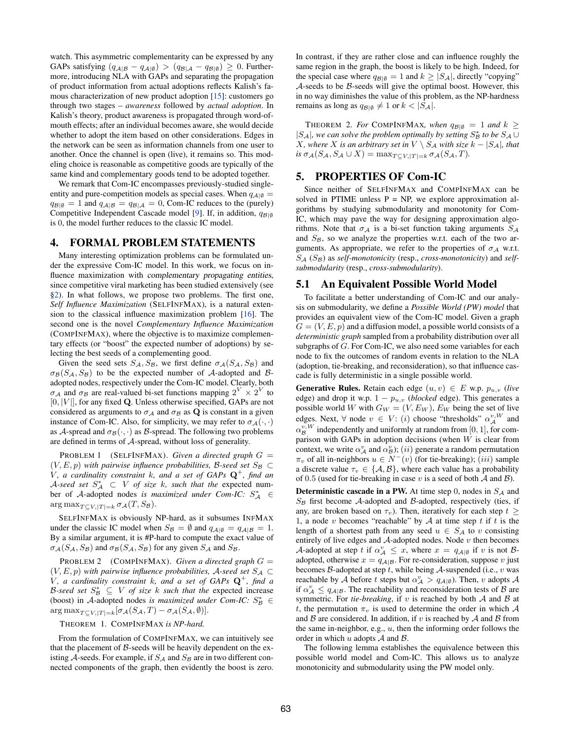watch. This asymmetric complementarity can be expressed by any GAPs satisfying  $(q_{A|B} - q_{A|\emptyset}) > (q_{B|A} - q_{B|\emptyset}) \geq 0$ . Furthermore, introducing NLA with GAPs and separating the propagation of product information from actual adoptions reflects Kalish's famous characterization of new product adoption [\[15\]](#page-11-22): customers go through two stages – *awareness* followed by *actual adoption*. In Kalish's theory, product awareness is propagated through word-ofmouth effects; after an individual becomes aware, she would decide whether to adopt the item based on other considerations. Edges in the network can be seen as information channels from one user to another. Once the channel is open (live), it remains so. This modeling choice is reasonable as competitive goods are typically of the same kind and complementary goods tend to be adopted together.

We remark that Com-IC encompasses previously-studied singleentity and pure-competition models as special cases. When  $q_{A|\emptyset}$  $q_{\mathcal{B}|\emptyset} = 1$  and  $q_{\mathcal{A}|\mathcal{B}} = q_{\mathcal{B}|\mathcal{A}} = 0$ , Com-IC reduces to the (purely) Competitive Independent Cascade model [\[9\]](#page-11-0). If, in addition, *qB|*; is 0, the model further reduces to the classic IC model.

# <span id="page-3-1"></span>4. FORMAL PROBLEM STATEMENTS

Many interesting optimization problems can be formulated under the expressive Com-IC model. In this work, we focus on influence maximization with *complementary propagating entities*, since competitive viral marketing has been studied extensively (see [§2\)](#page-1-0). In what follows, we propose two problems. The first one, *Self Influence Maximization* (SELFINFMAX), is a natural extension to the classical influence maximization problem [\[16\]](#page-11-1). The second one is the novel *Complementary Influence Maximization* (COMPINFMAX), where the objective is to maximize complementary effects (or "boost" the expected number of adoptions) by selecting the best seeds of a complementing good.

Given the seed sets  $S_A$ ,  $S_B$ , we first define  $\sigma_A(S_A, S_B)$  and  $\sigma_B(S_A, S_B)$  to be the expected number of *A*-adopted and *B*adopted nodes, respectively under the Com-IC model. Clearly, both  $\sigma_A$  and  $\sigma_B$  are real-valued bi-set functions mapping  $2^V \times 2^V$  to  $[0, |V|]$ , for any fixed Q. Unless otherwise specified, GAPs are not considered as arguments to  $\sigma_A$  and  $\sigma_B$  as **Q** is constant in a given instance of Com-IC. Also, for simplicity, we may refer to  $\sigma_A(\cdot, \cdot)$ as *A*-spread and  $\sigma_B(\cdot, \cdot)$  as *B*-spread. The following two problems are defined in terms of *A*-spread, without loss of generality.

PROBLEM 1 (SELFINFMAX). *Given a directed graph*  $G =$  $(V, E, p)$  *with pairwise influence probabilities, B-seed set*  $S_B \subset$ *V , a cardinality constraint k, and a set of GAPs* Q<sup>+</sup>*, find an*  $A$ *-seed set*  $S_A^* \subset V$  *of size k, such that the* expected number of *A*-adopted nodes *is maximized under Com-IC:*  $S_A^* \in$  $\arg \max_{T \subset V, |T| = k} \sigma_{\mathcal{A}}(T, S_{\mathcal{B}}).$ 

SELFINFMAX is obviously NP-hard, as it subsumes INFMAX under the classic IC model when  $S_B = \emptyset$  and  $q_{A|\emptyset} = q_{A|B} = 1$ . By a similar argument, it is #P-hard to compute the exact value of  $\sigma_A(S_A, S_B)$  and  $\sigma_B(S_A, S_B)$  for any given  $S_A$  and  $S_B$ .

PROBLEM 2 (COMPINFMAX). *Given a directed graph*  $G =$  $(V, E, p)$  *with pairwise influence probabilities, A-seed set*  $S_A \subset$ *V , a cardinality constraint k, and a set of GAPs* Q<sup>+</sup>*, find a B*-seed set  $S^*_{\mathcal{B}} \subseteq V$  *of size k such that the* expected increase (boost) in *A*-adopted nodes *is maximized under Com-IC:*  $S^*_{\mathcal{B}} \in$  $\arg \max_{T \subseteq V, |T| = k} [\sigma_{\mathcal{A}}(S_{\mathcal{A}}, T) - \sigma_{\mathcal{A}}(S_{\mathcal{A}}, \emptyset)].$ 

#### THEOREM 1. COMPINFMAX *is NP-hard.*

From the formulation of COMPINFMAX, we can intuitively see that the placement of *B*-seeds will be heavily dependent on the existing  $A$ -seeds. For example, if  $S_A$  and  $S_B$  are in two different connected components of the graph, then evidently the boost is zero. In contrast, if they are rather close and can influence roughly the same region in the graph, the boost is likely to be high. Indeed, for the special case where  $q_{\mathcal{B}|\emptyset} = 1$  and  $k \geq |S_{\mathcal{A}}|$ , directly "copying" *A*-seeds to be *B*-seeds will give the optimal boost. However, this in no way diminishes the value of this problem, as the NP-hardness remains as long as  $q_{\mathcal{B}|\emptyset} \neq 1$  or  $k < |S_{\mathcal{A}}|$ .

THEOREM 2. *For* COMPINFMAX, when  $q_{\mathcal{B}|\emptyset} = 1$  and  $k \geq$  $|S_A|$ , we can solve the problem optimally by setting  $S_B^*$  to be  $S_A \cup$ *X, where X is an arbitrary set in*  $V \setminus S_A$  *with size*  $k - |S_A|$ *, that*  $i\in \sigma_{\mathcal{A}}(S_{\mathcal{A}}, S_{\mathcal{A}} \cup X) = \max_{T \subseteq V, |T| = k} \sigma_{\mathcal{A}}(S_{\mathcal{A}}, T)$ .

# <span id="page-3-0"></span>5. PROPERTIES OF Com-IC

Since neither of SELFINFMAX and COMPINFMAX can be solved in PTIME unless  $P = NP$ , we explore approximation algorithms by studying submodularity and monotonity for Com-IC, which may pave the way for designing approximation algorithms. Note that  $\sigma_A$  is a bi-set function taking arguments  $S_A$ and  $S_B$ , so we analyze the properties w.r.t. each of the two arguments. As appropriate, we refer to the properties of  $\sigma_A$  w.r.t. *S<sup>A</sup>* (*SB*) as *self-monotonicity* (resp., *cross-monotonicity*) and *selfsubmodularity* (resp., *cross-submodularity*).

# <span id="page-3-2"></span>5.1 An Equivalent Possible World Model

To facilitate a better understanding of Com-IC and our analysis on submodularity, we define a *Possible World (PW) model* that provides an equivalent view of the Com-IC model. Given a graph  $G = (V, E, p)$  and a diffusion model, a possible world consists of a *deterministic graph* sampled from a probability distribution over all subgraphs of *G*. For Com-IC, we also need some variables for each node to fix the outcomes of random events in relation to the NLA (adoption, tie-breaking, and reconsideration), so that influence cascade is fully deterministic in a single possible world.

Generative Rules. Retain each edge  $(u, v) \in E$  w.p.  $p_{u,v}$  (live edge) and drop it w.p.  $1 - p_{u,v}$  (*blocked* edge). This generates a possible world *W* with  $G_W = (V, E_W)$ ,  $E_W$  being the set of live edges. Next,  $\forall$  node  $v \in V$ : (*i*) choose "thresholds"  $\alpha_{\mathcal{A}}^{v,W}$  and  $\alpha_{\mathcal{B}}^{v,W}$  independently and uniformly at random from [0, 1], for comparison with GAPs in adoption decisions (when *W* is clear from context, we write  $\alpha^v_A$  and  $\alpha^v_B$ ); (*ii*) generate a random permutation  $\pi_v$  of all in-neighbors  $u \in N^-(v)$  (for tie-breaking); (*iii*) sample a discrete value  $\tau_v \in \{A, B\}$ , where each value has a probability of 0*.*5 (used for tie-breaking in case *v* is a seed of both *A* and *B*).

Deterministic cascade in a PW. At time step 0, nodes in *S<sup>A</sup>* and *S<sup>B</sup>* first become *A*-adopted and *B*-adopted, respectively (ties, if any, are broken based on  $\tau_v$ ). Then, iteratively for each step  $t \geq$ 1, a node *v* becomes "reachable" by *A* at time step *t* if *t* is the length of a shortest path from any seed  $u \in S_A$  to *v* consisting entirely of live edges and *A*-adopted nodes. Node *v* then becomes *A*-adopted at step *t* if  $\alpha_A^v \leq x$ , where  $x = q_{A|\emptyset}$  if *v* is not *B*adopted, otherwise  $x = q_{\mathcal{A}|\mathcal{B}}$ . For re-consideration, suppose *v* just becomes *B*-adopted at step *t*, while being *A*-suspended (i.e., *v* was reachable by *A* before *t* steps but  $\alpha_{\mathcal{A}}^v > q_{\mathcal{A}|\emptyset}$ . Then, *v* adopts *A* if  $\alpha_A^v \leq q_{A|B}$ . The reachability and reconsideration tests of *B* are symmetric. For *tie-breaking*, if *v* is reached by both *A* and *B* at *t*, the permutation  $\pi_v$  is used to determine the order in which A and *B* are considered. In addition, if *v* is reached by *A* and *B* from the same in-neighbor, e.g., *u*, then the informing order follows the order in which *u* adopts *A* and *B*.

The following lemma establishes the equivalence between this possible world model and Com-IC. This allows us to analyze monotonicity and submodularity using the PW model only.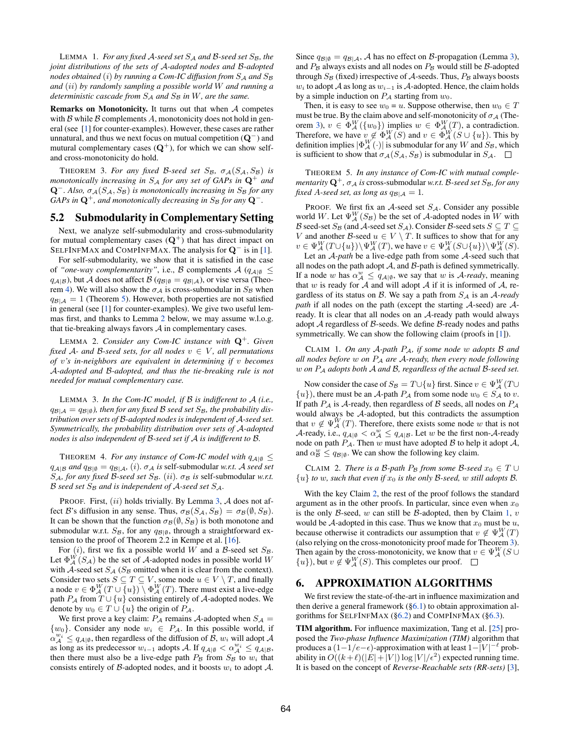LEMMA 1. *For any fixed A-seed set S<sup>A</sup> and B-seed set SB, the joint distributions of the sets of A-adopted nodes and B-adopted nodes obtained* (*i*) *by running a Com-IC diffusion from S<sup>A</sup> and S<sup>B</sup> and* (*ii*) *by randomly sampling a possible world W and running a deterministic cascade from S<sup>A</sup> and S<sup>B</sup> in W, are the same.*

Remarks on Monotonicity. It turns out that when *A* competes with  $\beta$  while  $\beta$  complements  $\beta$ , monotonicity does not hold in general (see [\[1\]](#page-11-13) for counter-examples). However, these cases are rather unnatural, and thus we next focus on mutual competition  $(Q^{-})$  and mutural complementary cases  $(Q^+)$ , for which we can show selfand cross-monotonicity do hold.

<span id="page-4-5"></span>THEOREM 3. For any fixed B-seed set  $S_B$ ,  $\sigma_A(S_A, S_B)$  is *monotonically increasing in*  $S_A$  *for any set of GAPs in*  $\mathbf{Q}^+$  *and*  $\mathbf{Q}^-$ . Also,  $\sigma_A(S_A, S_B)$  *is monotonically increasing in*  $S_B$  *for any GAPs in*  $\mathbf{Q}^+$ *, and monotonically decreasing in*  $S_B$  *for any*  $\mathbf{Q}^-$ *.* 

# 5.2 Submodularity in Complementary Setting

Next, we analyze self-submodularity and cross-submodularity for mutual complementary cases  $(Q^+)$  that has direct impact on SELFINFMAX and COMPINFMAX. The analysis for  $Q^-$  is in [\[1\]](#page-11-13).

For self-submodularity, we show that it is satisfied in the case of "one-way complementarity", i.e.,  $\beta$  complements  $\mathcal{A}$  ( $q_{\mathcal{A}|\emptyset} \leq$  $q_{\mathcal{A}|\mathcal{B}}$ ), but *A* does not affect *B* ( $q_{\mathcal{B}|\emptyset} = q_{\mathcal{B}|\mathcal{A}}$ ), or vise versa (Theo-rem [4\)](#page-4-2). We will also show the  $\sigma_A$  is cross-submodular in  $S_B$  when  $q_{\mathcal{B}|\mathcal{A}} = 1$  (Theorem [5\)](#page-4-3). However, both properties are not satisfied in general (see [\[1\]](#page-11-13) for counter-examples). We give two useful lemmas first, and thanks to Lemma [2](#page-4-4) below, we may assume w.l.o.g. that tie-breaking always favors *A* in complementary cases.

<span id="page-4-4"></span>LEMMA 2. *Consider any Com-IC instance with* Q<sup>+</sup>*. Given fixed*  $A$ *- and B-seed sets, for all nodes*  $v \in V$ *, all permutations of v's in-neighbors are equivalent in determining if v becomes A-adopted and B-adopted, and thus the tie-breaking rule is not needed for mutual complementary case.*

<span id="page-4-1"></span>LEMMA 3. *In the Com-IC model, if B is indifferent to A (i.e.,*  $q_{B|A} = q_{B|\emptyset}$ , then for any fixed B seed set  $S_B$ , the probability dis*tribution over sets of B-adopted nodes is independent of A-seed set. Symmetrically, the probability distribution over sets of A-adopted nodes is also independent of B-seed set if A is indifferent to B.*

<span id="page-4-2"></span>THEOREM 4. *For any instance of Com-IC model with*  $q_{\mathcal{A}|\emptyset} \leq$  $q_{\mathcal{A}|\mathcal{B}}$  *and*  $q_{\mathcal{B}|\emptyset} = q_{\mathcal{B}|\mathcal{A}}$ *, (i).*  $\sigma_{\mathcal{A}}$  *is* self-submodular *w.r.t. A seed set*  $S_A$ *, for any fixed B-seed set*  $S_B$ *.* (*ii*)*.*  $\sigma_B$  *is* self-submodular *w.r.t. B seed set S<sup>B</sup> and is independent of A-seed set SA.*

PROOF. First, (*ii*) holds trivially. By Lemma [3,](#page-4-1) *A* does not affect *B*'s diffusion in any sense. Thus,  $\sigma_B(S_A, S_B) = \sigma_B(\emptyset, S_B)$ . It can be shown that the function  $\sigma_{\mathcal{B}}(\emptyset, S_{\mathcal{B}})$  is both monotone and submodular w.r.t.  $S_B$ , for any  $q_{B|\emptyset}$ , through a straightforward extension to the proof of Theorem 2.2 in Kempe et al. [\[16\]](#page-11-1).

For  $(i)$ , first we fix a possible world *W* and a *B*-seed set  $S_B$ . Let  $\Phi_{\mathcal{A}}^{W}(S_{\mathcal{A}})$  be the set of  $\mathcal{A}$ -adopted nodes in possible world *W* with *A*-seed set  $S_A$  ( $S_B$  omitted when it is clear from the context). Consider two sets  $S \subseteq T \subseteq V$ , some node  $u \in V \setminus T$ , and finally a node  $v \in \Phi_{\mathcal{A}}^{W}(T \cup \{u\}) \setminus \Phi_{\mathcal{A}}^{W}(T)$ . There must exist a live-edge path  $P_A$  from  $T \cup \{u\}$  consisting entirely of *A*-adopted nodes. We denote by  $w_0 \in T \cup \{u\}$  the origin of  $P_A$ .

We first prove a key claim:  $P_A$  remains  $A$ -adopted when  $S_A$  =  $\{w_0\}$ . Consider any node  $w_i \in P_A$ . In this possible world, if  $\alpha^{w_i}_{\mathcal{A}} \leq q_{\mathcal{A}|\emptyset}$ , then regardless of the diffusion of  $\mathcal{B}$ ,  $w_i$  will adopt  $\mathcal{A}$ as long as its predecessor  $w_{i-1}$  adopts *A*. If  $q_{\mathcal{A}|\emptyset} < \alpha_{\mathcal{A}}^{w_i} \leq q_{\mathcal{A}|\mathcal{B}}$ , then there must also be a live-edge path  $P_B$  from  $S_B$  to  $w_i$  that consists entirely of *B*-adopted nodes, and it boosts  $w_i$  to adopt  $A$ .

Since  $q_{\mathcal{B}|\emptyset} = q_{\mathcal{B}|\mathcal{A}}, \mathcal{A}$  has no effect on  $\mathcal{B}$ -propagation (Lemma [3\)](#page-4-1), and  $P_B$  always exists and all nodes on  $P_B$  would still be  $B$ -adopted through  $S_B$  (fixed) irrespective of  $A$ -seeds. Thus,  $P_B$  always boosts *w*<sub>i</sub> to adopt *A* as long as  $w_{i-1}$  is *A*-adopted. Hence, the claim holds by a simple induction on  $P_A$  starting from  $w_0$ .

Then, it is easy to see  $w_0 = u$ . Suppose otherwise, then  $w_0 \in T$ must be true. By the claim above and self-monotonicity of  $\sigma_A$  (The-orem [3\)](#page-4-5),  $v \in \Phi_{\mathcal{A}}^{W}(\{w_0\})$  implies  $w \in \Phi_{\mathcal{A}}^{W}(T)$ , a contradiction. Therefore, we have  $v \notin \Phi_A^W(S)$  and  $v \in \Phi_A^W(S \cup \{u\})$ . This by definition implies  $|\Phi_A^W(\cdot)|$  is submodular for any *W* and *S<sub>B</sub>*, which is sufficient to show that  $\sigma_A(S_A, S_B)$  is submodular in  $S_A$ .  $\square$ 

<span id="page-4-3"></span>THEOREM 5. *In any instance of Com-IC with mutual complementarity*  $\mathbf{Q}^+$ ,  $\sigma_A$  *is* cross-submodular *w.r.t. B*-seed set *S<sub>B</sub>*, for any *fixed A-seed set, as long as*  $q_{\mathcal{B}|\mathcal{A}} = 1$ *.* 

PROOF. We first fix an *A*-seed set *SA*. Consider any possible world *W*. Let  $\Psi_A^W(S_B)$  be the set of *A*-adopted nodes in *W* with *B* seed-set *S<sub>B</sub>* (and *A*-seed set *S<sub>A</sub>*). Consider *B*-seed sets  $S \subseteq T \subseteq$ *V* and another *B*-seed  $u \in V \setminus T$ . It suffices to show that for any  $v \in \Psi_{\mathcal{A}}^{W}(T \cup \{u\}) \setminus \Psi_{\mathcal{A}}^{W}(T)$ , we have  $v \in \Psi_{\mathcal{A}}^{W}(S \cup \{u\}) \setminus \Psi_{\mathcal{A}}^{W}(S)$ .

Let an *A-path* be a live-edge path from some *A*-seed such that all nodes on the path adopt *A*, and *B*-path is defined symmetrically. If a node *w* has  $\alpha_{\mathcal{A}}^w \leq q_{\mathcal{A}|\emptyset}$ , we say that *w* is *A-ready*, meaning that *w* is ready for *A* and will adopt *A* if it is informed of *A*, regardless of its status on *B*. We say a path from *S<sup>A</sup>* is an *A-ready path* if all nodes on the path (except the starting *A*-seed) are *A*ready. It is clear that all nodes on an *A*-ready path would always adopt *A* regardless of *B*-seeds. We define *B*-ready nodes and paths symmetrically. We can show the following claim (proofs in [\[1\]](#page-11-13)).

<span id="page-4-7"></span>CLAIM 1. *On any A-path PA, if some node w adopts B and all nodes before w on P<sup>A</sup> are A-ready, then every node following w on P<sup>A</sup> adopts both A and B, regardless of the actual B-seed set.*

Now consider the case of  $S_B = T \cup \{u\}$  first. Since  $v \in \Psi_A^W(T \cup$  $\{u\}$ , there must be an *A*-path *P<sub>A</sub>* from some node  $w_0 \in S_A$  to *v*. If path *P<sup>A</sup>* is *A*-ready, then regardless of *B* seeds, all nodes on *P<sup>A</sup>* would always be *A*-adopted, but this contradicts the assumption that  $v \notin \Psi_{\mathcal{A}}^{W}(T)$ . Therefore, there exists some node *w* that is not *A*-ready, i.e.,  $q_{A|\emptyset} < \alpha_A^w \le q_{A|B}$ . Let *w* be the first non-*A*-ready node on path  $P_A$ . Then  $w$  must have adopted  $B$  to help it adopt  $A$ , and  $\alpha_B^w \le q_{\mathcal{B}|\emptyset}$ . We can show the following key claim.

<span id="page-4-6"></span>CLAIM 2. *There is a B-path*  $P_B$  *from some B-seed*  $x_0 \in T \cup$  $\{u\}$  *to w, such that even if*  $x_0$  *is the only B*-seed, *w still adopts B*.

With the key Claim [2,](#page-4-6) the rest of the proof follows the standard argument as in the other proofs. In particular, since even when  $x_0$ is the only *B*-seed, *w* can still be *B*-adopted, then by Claim [1,](#page-4-7) *v* would be *A*-adopted in this case. Thus we know that  $x_0$  must be  $u$ , because otherwise it contradicts our assumption that  $v \notin \Psi_{\mathcal{A}}^W(T)$ (also relying on the cross-monotonicity proof made for Theorem [3\)](#page-4-5). Then again by the cross-monotonicity, we know that  $v \in \Psi_{\mathcal{A}}^{W}(S \cup$  ${u}$ , but  $v \notin \Psi_{\mathcal{A}}^{W}(S)$ . This completes our proof.

# <span id="page-4-0"></span>6. APPROXIMATION ALGORITHMS

We first review the state-of-the-art in influence maximization and then derive a general framework  $(\S6.1)$  to obtain approximation algorithms for SELFINFMAX ([§6.2\)](#page-5-1) and COMPINFMAX ([§6.3\)](#page-7-0).

TIM algorithm. For influence maximization, Tang et al. [\[25\]](#page-11-12) proposed the *Two-phase Influence Maximization (TIM)* algorithm that produces a  $(1-1/e-\epsilon)$ -approximation with at least  $1-|V|^{-\ell}$  probability in  $O((k+\ell)(|E|+|V|)\log |V|/\epsilon^2)$  expected running time. It is based on the concept of *Reverse-Reachable sets (RR-sets)* [\[3\]](#page-11-10),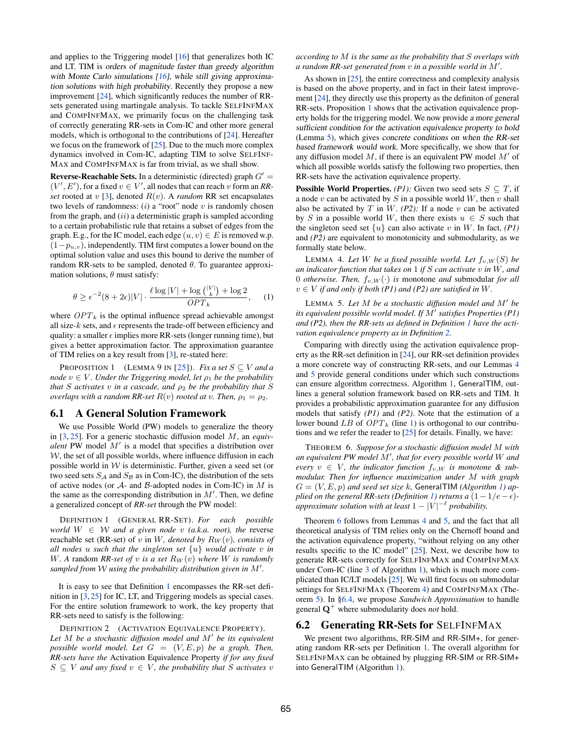and applies to the Triggering model [\[16\]](#page-11-1) that generalizes both IC and LT. TIM is *orders of magnitude faster than greedy algorithm with Monte Carlo simulations [\[16\]](#page-11-1), while still giving approximation solutions with high probability*. Recently they propose a new improvement [\[24\]](#page-11-11), which significantly reduces the number of RRsets generated using martingale analysis. To tackle SELFINFMAX and COMPINFMAX, we primarily focus on the challenging task of correctly generating RR-sets in Com-IC and other more general models, which is orthogonal to the contributions of [\[24\]](#page-11-11). Hereafter we focus on the framework of [\[25\]](#page-11-12). Due to the much more complex dynamics involved in Com-IC, adapting TIM to solve SELFINF-MAX and COMPINFMAX is far from trivial, as we shall show.

**Reverse-Reachable Sets.** In a deterministic (directed) graph  $G'$  =  $(V', E')$ , for a fixed  $v \in V'$ , all nodes that can reach *v* form an *RRset* rooted at  $v$  [\[3\]](#page-11-10), denoted  $R(v)$ . A *random* RR set encapsulates two levels of randomness: (*i*) a "root" node *v* is randomly chosen from the graph, and (*ii*) a deterministic graph is sampled according to a certain probabilistic rule that retains a subset of edges from the graph. E.g., for the IC model, each edge  $(u, v) \in E$  is removed w.p.  $(1-p_{u,v})$ , independently. TIM first computes a lower bound on the optimal solution value and uses this bound to derive the number of random RR-sets to be sampled, denoted  $\theta$ . To guarantee approximation solutions,  $\theta$  must satisfy:

$$
\theta \ge \epsilon^{-2} (8 + 2\epsilon)|V| \cdot \frac{\ell \log |V| + \log { |V| \choose k} + \log 2}{OPT_k}, \quad (1)
$$

where  $OPT_k$  is the optimal influence spread achievable amongst all size- $k$  sets, and  $\epsilon$  represents the trade-off between efficiency and quality: a smaller  $\epsilon$  implies more RR-sets (longer running time), but gives a better approximation factor. The approximation guarantee of TIM relies on a key result from [\[3\]](#page-11-10), re-stated here:

<span id="page-5-3"></span>PROPOSITION 1 (LEMMA 9 IN [\[25\]](#page-11-12)). *Fix a set*  $S \subseteq V$  *and a node*  $v \in V$ *. Under the Triggering model, let*  $\rho_1$  *be the probability that S activates v in a cascade, and*  $\rho_2$  *be the probability that S overlaps with a random RR-set*  $R(v)$  *rooted at v. Then,*  $\rho_1 = \rho_2$ *.* 

## <span id="page-5-0"></span>6.1 A General Solution Framework

We use Possible World (PW) models to generalize the theory in [\[3,](#page-11-10) [25\]](#page-11-12). For a generic stochastic diffusion model *M*, an *equivalent* PW model  $M'$  is a model that specifies a distribution over  $W$ , the set of all possible worlds, where influence diffusion in each possible world in  $W$  is deterministic. Further, given a seed set (or two seed sets  $S_A$  and  $S_B$  as in Com-IC), the distribution of the sets of active nodes (or *A*- and *B*-adopted nodes in Com-IC) in *M* is the same as the corresponding distribution in  $M'$ . Then, we define a generalized concept of *RR-set* through the PW model:

<span id="page-5-2"></span>DEFINITION 1 (GENERAL RR-SET). *For each possible world*  $W \in W$  *and a given node v* (*a.k.a. root*), the reverse reachable set (RR-set) of *v* in *W, denoted by*  $R_W(v)$ *, consists of all nodes u such that the singleton set {u} would activate v in W.* A random *RR-set of v is a set*  $R_W(v)$  *where W is randomly* sampled from  $\mathcal W$  using the probability distribution given in  $M'.$ 

It is easy to see that Definition [1](#page-5-2) encompasses the RR-set definition in [\[3,](#page-11-10) [25\]](#page-11-12) for IC, LT, and Triggering models as special cases. For the entire solution framework to work, the key property that RR-sets need to satisfy is the following:

<span id="page-5-5"></span>DEFINITION 2 (ACTIVATION EQUIVALENCE PROPERTY). Let  $M$  be a stochastic diffusion model and  $M'$  be its equivalent *possible world model. Let*  $G = (V, E, p)$  *be a graph. Then, RR-sets have the* Activation Equivalence Property *if for any fixed*  $S \subseteq V$  *and any fixed*  $v \in V$ *, the probability that S activates v* 

*according to M is the same as the probability that S overlaps with a random RR-set generated from*  $v$  *in a possible world in*  $M'$ *.* 

As shown in [\[25\]](#page-11-12), the entire correctness and complexity analysis is based on the above property, and in fact in their latest improvement [\[24\]](#page-11-11), they directly use this property as the definiton of general RR-sets. Proposition [1](#page-5-3) shows that the activation equivalence property holds for the triggering model. We now provide *a more general sufficient condition for the activation equivalence property to hold* (Lemma [5\)](#page-5-4), which gives *concrete conditions on when the RR-set based framework would work*. More specifically, we show that for any diffusion model  $M$ , if there is an equivalent PW model  $M'$  of which all possible worlds satisfy the following two properties, then RR-sets have the activation equivalence property.

**Possible World Properties.** *(P1):* Given two seed sets  $S \subseteq T$ , if a node *v* can be activated by *S* in a possible world *W*, then *v* shall also be activated by  $T$  in  $W$ . *(P2)*: If a node  $v$  can be activated by *S* in a possible world *W*, then there exists  $u \in S$  such that the singleton seed set  $\{u\}$  can also activate *v* in *W*. In fact, *(P1)* and *(P2)* are equivalent to monotonicity and submodularity, as we formally state below.

<span id="page-5-6"></span>LEMMA 4. Let *W* be a fixed possible world. Let  $f_v, W(S)$  be *an indicator function that takes on* 1 *if S can activate v in W, and* 0 *otherwise. Then,*  $f_{v,W}(\cdot)$  *is* monotone *and* submodular *for all*  $v \in V$  *if and only if both* (P1) and (P2) are satisfied in W.

<span id="page-5-8"></span><span id="page-5-4"></span>LEMMA 5. Let  $M$  be a stochastic diffusion model and  $M'$  be *its equivalent possible world model. If*  $M'$  *satisfies Properties (P1) and (P2), then the RR-sets as defined in Definition [1](#page-5-2) have the activation equivalence property as in Definition [2.](#page-5-5)*

Comparing with directly using the activation equivalence property as the RR-set definition in [\[24\]](#page-11-11), our RR-set definition provides a more concrete way of constructing RR-sets, and our Lemmas [4](#page-5-6) and [5](#page-5-4) provide general conditions under which such constructions can ensure algorithm correctness. Algorithm [1,](#page-6-0) GeneralTIM, outlines a general solution framework based on RR-sets and TIM. It provides a probabilistic approximation guarantee for any diffusion models that satisfy *(P1)* and *(P2)*. Note that the estimation of a lower bound LB of  $OPT_k$  (line [1\)](#page-6-1) is orthogonal to our contributions and we refer the reader to [\[25\]](#page-11-12) for details. Finally, we have:

<span id="page-5-7"></span>THEOREM 6. *Suppose for a stochastic diffusion model M with an equivalent PW model M*<sup>0</sup> *, that for every possible world W and every*  $v \in V$ , the indicator function  $f_{v,W}$  is monotone & sub*modular. Then for influence maximization under M with graph*  $G = (V, E, p)$  *and seed set size k*, GeneralTIM *(Algorithm [1\)](#page-6-0) ap*-*plied on the general RR-sets (Definition [1\)](#page-5-2) returns a*  $(1 - 1/e - \epsilon)$ *approximate solution with at least*  $1 - |V|^{-\ell}$  *probability.* 

Theorem [6](#page-5-7) follows from Lemmas [4](#page-5-6) and [5,](#page-5-4) and the fact that all theoretical analysis of TIM relies only on the Chernoff bound and the activation equivalence property, "without relying on any other results specific to the IC model" [\[25\]](#page-11-12). Next, we describe how to generate RR-sets correctly for SELFINFMAX and COMPINFMAX under Com-IC (line [3](#page-6-2) of Algorithm [1\)](#page-6-0), which is much more complicated than IC/LT models [\[25\]](#page-11-12). We will first focus on submodular settings for SELFINFMAX (Theorem [4\)](#page-4-2) and COMPINFMAX (Theorem [5\)](#page-4-3). In [§6.4,](#page-8-0) we propose *Sandwich Approximation* to handle general Q<sup>+</sup> where submodularity does *not* hold.

#### <span id="page-5-1"></span>**6.2 Generating RR-Sets for SELFINFMAX**

We present two algorithms, RR-SIM and RR-SIM+, for generating random RR-sets per Definition [1.](#page-5-2) The overall algorithm for SELFINFMAX can be obtained by plugging RR-SIM or RR-SIM+ into GeneralTIM (Algorithm [1\)](#page-6-0).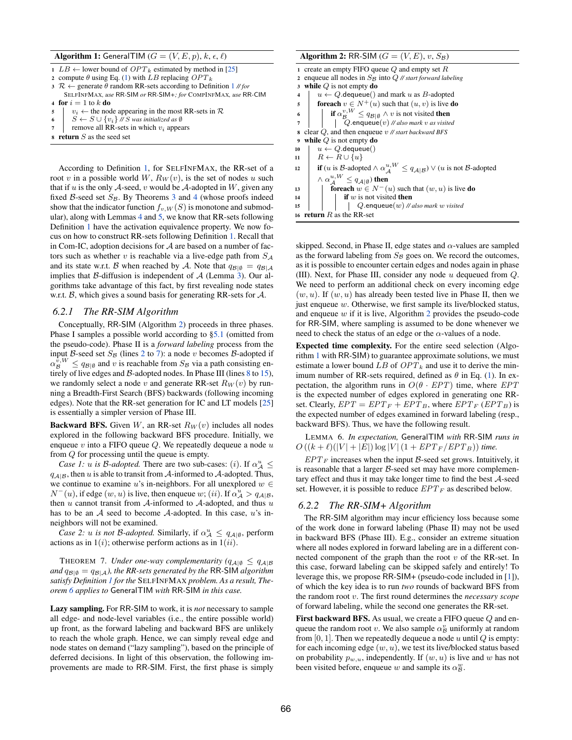#### Algorithm 1: GeneralTIM  $(G = (V, E, p), k, \epsilon, \ell)$

<span id="page-6-1"></span><span id="page-6-0"></span>

| $1$ $LB \leftarrow$ lower bound of $OPT_k$ estimated by method in [25] |
|------------------------------------------------------------------------|
| 2 compute $\theta$ using Eq. (1) with LB replacing $OPT_k$             |

- 
- <span id="page-6-2"></span>3  $\mathcal{R} \leftarrow$  generate  $\theta$  random RR-sets according to Definition [1](#page-5-2) // *for* SELFINFMAX*, use* RR*-*SIM *or* RR*-*SIM*+; for* COMPINFMAX*, use* RR*-*CIM 4 for  $i = 1$  to  $k$  do
- 5  $v_i \leftarrow$  the node appearing in the most RR-sets in  $\mathcal{R}$ <br>6  $S \leftarrow S \cup \{v_i\}$  // *S* was initialized as  $\emptyset$
- 6  $S \leftarrow S \cup \{v_i\}$  // *S* was initialized as  $\emptyset$ <br>
7 remove all RR-sets in which  $v_i$  appear
- remove all RR-sets in which  $v_i$  appears
- <sup>8</sup> return *S* as the seed set

According to Definition [1,](#page-5-2) for SELFINFMAX, the RR-set of a root *v* in a possible world *W*,  $R_W(v)$ , is the set of nodes *u* such that if  $u$  is the only  $A$ -seed,  $v$  would be  $A$ -adopted in  $W$ , given any fixed  $\beta$ -seed set  $S_{\beta}$ . By Theorems [3](#page-4-5) and [4](#page-4-2) (whose proofs indeed show that the indicator function  $f_{v,W}(S)$  is monotone and submodular), along with Lemmas [4](#page-5-6) and [5,](#page-5-4) we know that RR-sets following Definition [1](#page-5-2) have the activation equivalence property. We now focus on how to construct RR-sets following Definition [1.](#page-5-2) Recall that in Com-IC, adoption decisions for *A* are based on a number of factors such as whether *v* is reachable via a live-edge path from *S<sup>A</sup>* and its state w.r.t. *B* when reached by *A*. Note that  $q_{\mathcal{B}|\emptyset} = q_{\mathcal{B}|\mathcal{A}}$ implies that *B*-diffusion is independent of *A* (Lemma [3\)](#page-4-1). Our algorithms take advantage of this fact, by first revealing node states w.r.t. *B*, which gives a sound basis for generating RR-sets for *A*.

#### *6.2.1 The RR-SIM Algorithm*

Conceptually, RR-SIM (Algorithm [2\)](#page-6-3) proceeds in three phases. Phase I samples a possible world according to [§5.1](#page-3-2) (omitted from the pseudo-code). Phase II is a *forward labeling* process from the input *B*-seed set  $S_B$  (lines [2](#page-6-4) to [7\)](#page-6-5): a node *v* becomes *B*-adopted if  $\alpha_B^{\bar{v},W} \leq q_{\mathcal{B}|\emptyset}$  and *v* is reachable from  $S_B$  via a path consisting entirely of live edges and *B*-adopted nodes. In Phase III (lines [8](#page-6-6) to [15\)](#page-6-7), we randomly select a node *v* and generate RR-set  $R_W(v)$  by running a Breadth-First Search (BFS) backwards (following incoming edges). Note that the RR-set generation for IC and LT models [\[25\]](#page-11-12) is essentially a simpler version of Phase III.

**Backward BFS.** Given *W*, an RR-set  $R_W(v)$  includes all nodes explored in the following backward BFS procedure. Initially, we enqueue *v* into a FIFO queue *Q*. We repeatedly dequeue a node *u* from *Q* for processing until the queue is empty.

*Case 1: u is B-adopted.* There are two sub-cases: (*i*). If  $\alpha_A^u \leq$  $q_{A|B}$ , then *u* is able to transit from *A*-informed to *A*-adopted. Thus, we continue to examine *u*'s in-neighbors. For all unexplored  $w \in$  $N^-(u)$ , if edge  $(w, u)$  is live, then enqueue *w*; (*ii*). If  $\alpha^u_{\mathcal{A}} > q_{\mathcal{A}|\mathcal{B}}$ , then *u* cannot transit from *A*-informed to *A*-adopted, and thus *u* has to be an *A* seed to become *A*-adopted. In this case, *u*'s inneighbors will not be examined.

*Case 2: u is not B-adopted.* Similarly, if  $\alpha_A^u \le q_{A|\emptyset}$ , perform actions as in 1(*i*); otherwise perform actions as in 1(*ii*).

THEOREM 7. *Under one-way complementarity*  $(q_{A|\emptyset} \leq q_{A|\mathcal{B}})$ *and*  $q_{\mathcal{B}|\emptyset} = q_{\mathcal{B}|\mathcal{A}}$ *), the RR-sets generated by the RR-SIM algorithm satisfy Definition [1](#page-5-2) for the* SELFINFMAX *problem. As a result, Theorem [6](#page-5-7) applies to* GeneralTIM *with* RR*-*SIM *in this case.*

Lazy sampling. For RR-SIM to work, it is *not* necessary to sample all edge- and node-level variables (i.e., the entire possible world) up front, as the forward labeling and backward BFS are unlikely to reach the whole graph. Hence, we can simply reveal edge and node states on demand ("lazy sampling"), based on the principle of deferred decisions. In light of this observation, the following improvements are made to RR-SIM. First, the first phase is simply

#### <span id="page-6-6"></span><span id="page-6-5"></span><span id="page-6-4"></span><span id="page-6-3"></span>Algorithm 2: RR-SIM  $(G = (V, E), v, S_B)$ <sup>1</sup> create an empty FIFO queue *Q* and empty set *R* 2 enqueue all nodes in  $S_B$  into  $Q$  // *start forward labeling*<br>3 **while**  $Q$  is not empty **do** while *Q* is not empty **do**  $u \leftarrow Q$ .dequeue() and mark *u* as *B*-adopted 5 **foreach**  $v \in N^+(u)$  such that  $(u, v)$  is live **do** 6 if  $\alpha_{\mathcal{B}}^{v,W} \leq q_{\mathcal{B}|\emptyset} \wedge v$  is not visited then <sup>7</sup> *Q.*enqueue(*v*) *// also mark v as visited* <sup>8</sup> clear *Q*, and then enqueue *v // start backward BFS* <sup>9</sup> while *Q* is not empty do 10  $u \leftarrow Q$ .dequeue()<br>11  $R \leftarrow R \cup \{u\}$  $R \leftarrow R \cup \{u\}$  $\text{if } (u \text{ is } \mathcal{B}\text{-adopted} \land \alpha_{\mathcal{A}}^{u,W} \leq q_{\mathcal{A}|\mathcal{B}}) \lor (u \text{ is not } \mathcal{B}\text{-adopted})$  $\wedge \alpha^{u,W}_{\mathcal{A}} \leq q_{\mathcal{A}|\emptyset}$  then 13 **foreach**  $w \in N^{-}(u)$  such that  $(w, u)$  is live **do**<br>14 **if**  $w$  is not visited **then** if  $w$  is not visited then <sup>15</sup> *Q.*enqueue(*w*) *// also mark w visited* <sup>16</sup> return *R* as the RR-set

<span id="page-6-7"></span>skipped. Second, in Phase II, edge states and  $\alpha$ -values are sampled as the forward labeling from  $S_B$  goes on. We record the outcomes, as it is possible to encounter certain edges and nodes again in phase (III). Next, for Phase III, consider any node *u* dequeued from *Q*. We need to perform an additional check on every incoming edge  $(w, u)$ . If  $(w, u)$  has already been tested live in Phase II, then we just enqueue *w*. Otherwise, we first sample its live/blocked status, and enqueue *w* if it is live, Algorithm [2](#page-6-3) provides the pseudo-code for RR-SIM, where sampling is assumed to be done whenever we need to check the status of an edge or the  $\alpha$ -values of a node.

Expected time complexity. For the entire seed selection (Algorithm [1](#page-6-0) with RR-SIM) to guarantee approximate solutions, we must estimate a lower bound *LB* of *OPT<sup>k</sup>* and use it to derive the minimum number of RR-sets required, defined as  $\theta$  in Eq. [\(1\)](#page-5-8). In expectation, the algorithm runs in  $O(\theta \cdot EPT)$  time, where *EPT* is the expected number of edges explored in generating one RRset. Clearly,  $EPT = EPT_F + EPT_B$ , where  $EPT_F$  ( $EPT_B$ ) is the expected number of edges examined in forward labeling (resp., backward BFS). Thus, we have the following result.

LEMMA 6. *In expectation,* GeneralTIM *with* RR*-*SIM *runs in*  $O((k + \ell)(|V| + |E|) \log |V| (1 + EPT_F/EPT_B))$  time.

 $EPT_F$  increases when the input *B*-seed set grows. Intuitively, it is reasonable that a larger *B*-seed set may have more complementary effect and thus it may take longer time to find the best *A*-seed set. However, it is possible to reduce *EPT <sup>F</sup>* as described below.

# *6.2.2 The RR-SIM+ Algorithm*

The RR-SIM algorithm may incur efficiency loss because some of the work done in forward labeling (Phase II) may not be used in backward BFS (Phase III). E.g., consider an extreme situation where all nodes explored in forward labeling are in a different connected component of the graph than the root *v* of the RR-set. In this case, forward labeling can be skipped safely and entirely! To leverage this, we propose RR-SIM+ (pseudo-code included in [\[1\]](#page-11-13)), of which the key idea is to run *two* rounds of backward BFS from the random root *v*. The first round determines the *necessary scope* of forward labeling, while the second one generates the RR-set.

First backward BFS. As usual, we create a FIFO queue *Q* and enqueue the random root *v*. We also sample  $\alpha_B^v$  uniformly at random from [0*,* 1]. Then we repeatedly dequeue a node *u* until *Q* is empty: for each incoming edge (*w, u*), we test its live/blocked status based on probability  $p_{w,u}$ , independently. If  $(w, u)$  is live and w has not been visited before, enqueue *w* and sample its  $\alpha_{\mathcal{B}}^w$ .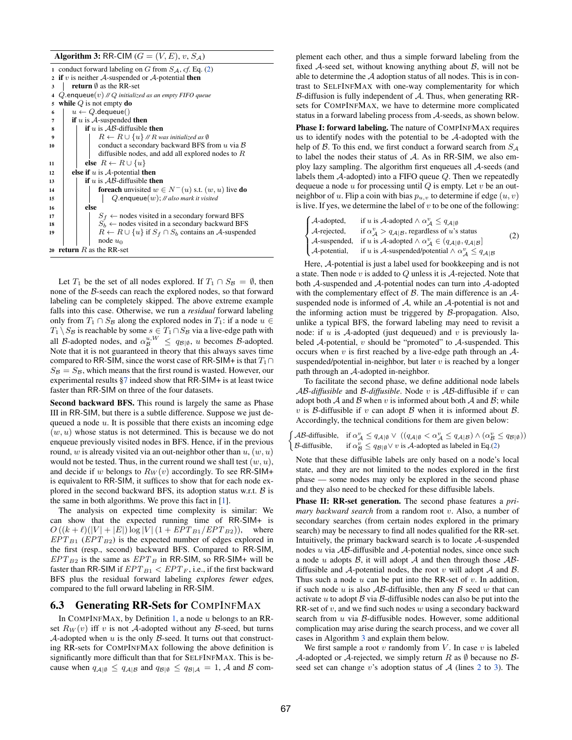Algorithm 3: RR-CIM  $(G = (V, E), v, S_A)$ 

<span id="page-7-7"></span><span id="page-7-6"></span><span id="page-7-5"></span><span id="page-7-4"></span><span id="page-7-3"></span><span id="page-7-2"></span>

|                         | 1 conduct forward labeling on G from $S_A$ , cf. Eq. (2)              |  |  |  |  |
|-------------------------|-----------------------------------------------------------------------|--|--|--|--|
|                         | 2 if v is neither A-suspended or A-potential then                     |  |  |  |  |
| 3                       | <b>return</b> $\emptyset$ as the RR-set                               |  |  |  |  |
| $\overline{\mathbf{4}}$ | Q enqueue(v) // Q initialized as an empty FIFO queue                  |  |  |  |  |
| 5                       | while $Q$ is not empty do                                             |  |  |  |  |
| 6                       | $u \leftarrow Q$ . dequeue()                                          |  |  |  |  |
| 7                       | if $u$ is $A$ -suspended then                                         |  |  |  |  |
| 8                       | <b>if</b> u is $AB$ -diffusible <b>then</b>                           |  |  |  |  |
| 9                       | $R \leftarrow R \cup \{u\}$ // R was initialized as $\emptyset$       |  |  |  |  |
| 10                      | conduct a secondary backward BFS from $u$ via $\beta$                 |  |  |  |  |
|                         | diffusible nodes, and add all explored nodes to $R$                   |  |  |  |  |
| 11                      | else $R \leftarrow R \cup \{u\}$                                      |  |  |  |  |
| 12                      | else if $u$ is $A$ -potential then                                    |  |  |  |  |
| 13                      | <b>if</b> u is $AB$ -diffusible <b>then</b>                           |  |  |  |  |
| 14                      | <b>foreach</b> unvisited $w \in N^-(u)$ s.t. $(w, u)$ live <b>do</b>  |  |  |  |  |
| 15                      | Q enqueue $(w)$ ; // also mark it visited                             |  |  |  |  |
| 16                      | else                                                                  |  |  |  |  |
| 17                      | $S_f \leftarrow$ nodes visited in a secondary forward BFS             |  |  |  |  |
| 18                      | $S_h \leftarrow$ nodes visited in a secondary backward BFS            |  |  |  |  |
| 19                      | $R \leftarrow R \cup \{u\}$ if $S_f \cap S_b$ contains an A-suspended |  |  |  |  |
|                         | node $u_0$                                                            |  |  |  |  |
|                         | 20 <b>return</b> $R$ as the RR-set                                    |  |  |  |  |
|                         |                                                                       |  |  |  |  |

<span id="page-7-11"></span><span id="page-7-10"></span><span id="page-7-9"></span><span id="page-7-8"></span>Let  $T_1$  be the set of all nodes explored. If  $T_1 \cap S_B = \emptyset$ , then none of the *B*-seeds can reach the explored nodes, so that forward labeling can be completely skipped. The above extreme example falls into this case. Otherwise, we run a *residual* forward labeling only from  $T_1 \cap S_B$  along the explored nodes in  $T_1$ : if a node  $u \in$  $T_1 \setminus S_B$  is reachable by some  $s \in T_1 \cap S_B$  via a live-edge path with all *B*-adopted nodes, and  $\alpha_B^{u,W} \le q_{\mathcal{B}|\emptyset}$ , *u* becomes *B*-adopted. Note that it is not guaranteed in theory that this always saves time compared to RR-SIM, since the worst case of RR-SIM+ is that  $T_1\cap$  $S_B = S_B$ , which means that the first round is wasted. However, our experimental results [§7](#page-9-0) indeed show that RR-SIM+ is at least twice faster than RR-SIM on three of the four datasets.

Second backward BFS. This round is largely the same as Phase III in RR-SIM, but there is a subtle difference. Suppose we just dequeued a node *u*. It is possible that there exists an incoming edge (*w, u*) whose status is not determined. This is because we do not enqueue previously visited nodes in BFS. Hence, if in the previous round, *w* is already visited via an out-neighbor other than *u*, (*w, u*) would not be tested. Thus, in the current round we shall test (*w, u*), and decide if *w* belongs to  $R_W(v)$  accordingly. To see RR-SIM+ is equivalent to RR-SIM, it suffices to show that for each node explored in the second backward BFS, its adoption status w.r.t. *B* is the same in both algorithms. We prove this fact in [\[1\]](#page-11-13).

The analysis on expected time complexity is similar: We can show that the expected running time of RR-SIM+ is  $O((k + \ell)(|V| + |E|) \log |V| (1 + EPT_{B1}/EPT_{B2}))$ , where  $EPT_{B1}$  ( $EPT_{B2}$ ) is the expected number of edges explored in the first (resp., second) backward BFS. Compared to RR-SIM,  $EPT_{B2}$  is the same as  $EPT_B$  in RR-SIM, so RR-SIM+ will be faster than RR-SIM if  $EPT_{B1} < EPT_F$ , i.e., if the first backward BFS plus the residual forward labeling *explores fewer edges*, compared to the full orward labeling in RR-SIM.

#### <span id="page-7-0"></span>**6.3 Generating RR-Sets for COMPINEMAX**

In COMPINFMAX, by Definition [1,](#page-5-2) a node *u* belongs to an RRset  $R_W(v)$  iff *v* is not *A*-adopted without any *B*-seed, but turns *A*-adopted when *u* is the only *B*-seed. It turns out that constructing RR-sets for COMPINFMAX following the above definition is significantly more difficult than that for SELFINFMAX. This is because when  $q_{A|\emptyset} \leq q_{A|B}$  and  $q_{B|\emptyset} \leq q_{B|A} = 1$ , *A* and *B* complement each other, and thus a simple forward labeling from the fixed *A*-seed set, without knowing anything about *B*, will not be able to determine the *A* adoption status of all nodes. This is in contrast to SELFINFMAX with one-way complementarity for which *B*-diffusion is fully independent of *A*. Thus, when generating RRsets for COMPINFMAX, we have to determine more complicated status in a forward labeling process from *A*-seeds, as shown below.

Phase I: forward labeling. The nature of COMPINFMAX requires us to identify nodes with the potential to be *A*-adopted with the help of *B*. To this end, we first conduct a forward search from *S<sup>A</sup>* to label the nodes their status of *A*. As in RR-SIM, we also employ lazy sampling. The algorithm first enqueues all *A*-seeds (and labels them *A*-adopted) into a FIFO queue *Q*. Then we repeatedly dequeue a node *u* for processing until *Q* is empty. Let *v* be an outneighbor of *u*. Flip a coin with bias  $p_{u,v}$  to determine if edge  $(u, v)$ is live. If yes, we determine the label of *v* to be one of the following:

<span id="page-7-1"></span>
$$
\begin{cases} \text{$\mathcal{A}$-adopted,} & \text{if $u$ is $\mathcal{A}$-adopted $\wedge$ $\alpha^v_{\mathcal{A}} \leq q_{\mathcal{A}}$} \\ \text{$\mathcal{A}$-rejected,} & \text{if $\alpha^v_{\mathcal{A}} > q_{\mathcal{A}}$} \text{$\mathcal{B}$, regardless of $u$'s status} \\ \text{$\mathcal{A}$-subended,} & \text{if $u$ is $\mathcal{A}$-adopted $\wedge$ $\alpha^v_{\mathcal{A}} \in (q_{\mathcal{A}}$|{\mathcal{B}}, q_{\mathcal{A}}$|{\mathcal{B}}$} \\ \text{$\mathcal{A}$-potential,} & \text{if $u$ is $\mathcal{A}$-subpendicular potential $\wedge$ $\alpha^v_{\mathcal{A}} \leq q_{\mathcal{A}}$|{\mathcal{B}}$} \end{cases} \tag{$2$}
$$

Here, *A*-potential is just a label used for bookkeeping and is not a state. Then node *v* is added to *Q* unless it is *A*-rejected. Note that both *A*-suspended and *A*-potential nodes can turn into *A*-adopted with the complementary effect of *B*. The main difference is an *A*suspended node is informed of *A*, while an *A*-potential is not and the informing action must be triggered by *B*-propagation. Also, unlike a typical BFS, the forward labeling may need to revisit a node: if *u* is *A*-adopted (just dequeued) and *v* is previously labeled *A*-potential, *v* should be "promoted" to *A*-suspended. This occurs when *v* is first reached by a live-edge path through an *A*suspended/potential in-neighbor, but later *v* is reached by a longer path through an *A*-adopted in-neighbor.

To facilitate the second phase, we define additional node labels *AB-diffusible* and *B-diffusible*. Node *v* is *AB*-diffusible if *v* can adopt both  $A$  and  $B$  when  $v$  is informed about both  $A$  and  $B$ ; while *v* is *B*-diffusible if *v* can adopt *B* when it is informed about *B*. Accordingly, the technical conditions for them are given below:

 $\int \mathcal{A}\mathcal{B}\text{-diffusible}, \quad \text{if } \alpha_{\mathcal{A}}^{v} \leq q_{\mathcal{A}|\emptyset} \vee ((q_{\mathcal{A}|\emptyset} < \alpha_{\mathcal{A}}^{v} \leq q_{\mathcal{A}|\mathcal{B}}) \wedge (\alpha_{\mathcal{B}}^{v} \leq q_{\mathcal{B}|\emptyset}))$ *B*-diffusible, if  $\alpha_{\mathcal{B}}^v \le q_{\mathcal{B}|\emptyset} \vee v$  is *A*-adopted as labeled in Eq.[\(2\)](#page-7-1)

Note that these diffusible labels are only based on a node's local state, and they are not limited to the nodes explored in the first phase — some nodes may only be explored in the second phase and they also need to be checked for these diffusible labels.

Phase II: RR-set generation. The second phase features a *primary backward search* from a random root *v*. Also, a number of secondary searches (from certain nodes explored in the primary search) may be necessary to find all nodes qualified for the RR-set. Intuitively, the primary backward search is to locate *A*-suspended nodes *u* via *AB*-diffusible and *A*-potential nodes, since once such a node *u* adopts *B*, it will adopt *A* and then through those *AB*diffusible and *A*-potential nodes, the root *v* will adopt *A* and *B*. Thus such a node *u* can be put into the RR-set of *v*. In addition, if such node *u* is also *AB*-diffusible, then any *B* seed *w* that can activate *u* to adopt *B* via *B*-diffusible nodes can also be put into the RR-set of *v*, and we find such nodes *w* using a secondary backward search from *u* via *B*-diffusible nodes. However, some additional complication may arise during the search process, and we cover all cases in Algorithm [3](#page-7-2) and explain them below.

We first sample a root *v* randomly from *V* . In case *v* is labeled *A*-adopted or *A*-rejected, we simply return *R* as  $\emptyset$  because no *B*seed set can change *v*'s adoption status of *A* (lines [2](#page-7-3) to [3\)](#page-7-4). The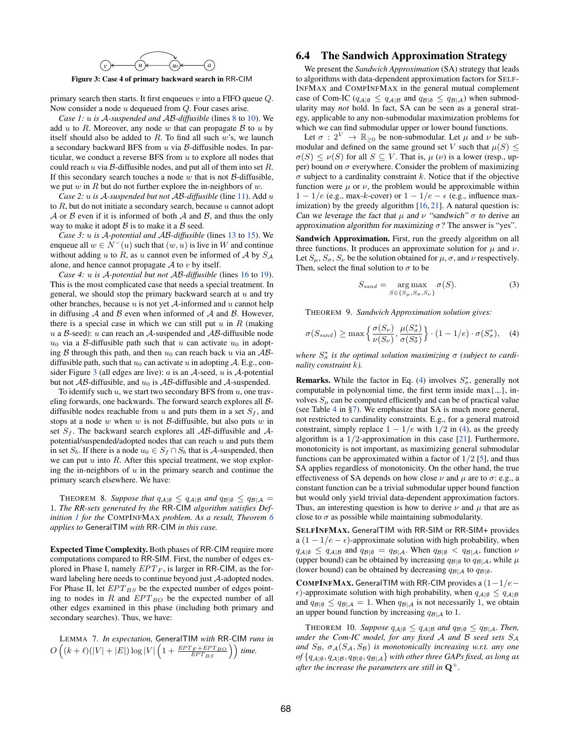

<span id="page-8-1"></span>Figure 3: Case 4 of primary backward search in RR-CIM

primary search then starts. It first enqueues *v* into a FIFO queue *Q*. Now consider a node *u* dequeued from *Q*. Four cases arise.

*Case 1: u is A-suspended and AB-diffusible* (lines [8](#page-7-5) to [10\)](#page-7-6). We add  $u$  to  $R$ . Moreover, any node  $w$  that can propagate  $B$  to  $u$  by itself should also be added to *R*. To find all such *w*'s, we launch a secondary backward BFS from *u* via *B*-diffusible nodes. In particular, we conduct a reverse BFS from *u* to explore all nodes that could reach *u* via *B*-diffusible nodes, and put all of them into set *R*. If this secondary search touches a node *w* that is not *B*-diffusible, we put *w* in *R* but do not further explore the in-neighbors of *w*.

*Case 2: u is A-suspended but not AB-diffusible* (line [11\)](#page-7-7). Add *u* to *R*, but do not initiate a secondary search, because *u* cannot adopt *A* or *B* even if it is informed of both *A* and *B*, and thus the only way to make it adopt *B* is to make it a *B* seed.

*Case 3: u is A-potential and AB-diffusible* (lines [13](#page-7-8) to [15\)](#page-7-9). We enqueue all  $w \in N^-(u)$  such that  $(w, u)$  is live in W and continue without adding *u* to *R*, as *u* cannot even be informed of *A* by *S<sup>A</sup>* alone, and hence cannot propagate  $A$  to  $v$  by itself.

*Case 4: u is A-potential but not AB-diffusible* (lines [16](#page-7-10) to [19\)](#page-7-11). This is the most complicated case that needs a special treatment. In general, we should stop the primary backward search at *u* and try other branches, because *u* is not yet *A*-informed and *u* cannot help in diffusing *A* and *B* even when informed of *A* and *B*. However, there is a special case in which we can still put  $u$  in  $R$  (making *u* a *B*-seed): *u* can reach an *A*-suspended and *AB*-diffusible node  $u_0$  via a *B*-diffusible path such that *u* can activate  $u_0$  in adopting  $\beta$  through this path, and then  $u_0$  can reach back  $u$  via an  $\mathcal{AB}$ diffusible path, such that  $u_0$  can activate *u* in adopting A. E.g., consider Figure [3](#page-8-1) (all edges are live): *a* is an *A*-seed, *u* is *A*-potential but not  $AB$ -diffusible, and  $u_0$  is  $AB$ -diffusible and  $A$ -suspended.

To identify such *u*, we start two secondary BFS from *u*, one traveling forwards, one backwards. The forward search explores all *B*diffusible nodes reachable from  $u$  and puts them in a set  $S_f$ , and stops at a node *w* when *w* is not *B*-diffusible, but also puts *w* in set  $S_f$ . The backward search explores all  $\mathcal{AB}$ -diffusible and  $\mathcal{A}$ potential/suspended/adopted nodes that can reach *u* and puts them in set  $S_b$ . If there is a node  $u_0 \in S_f \cap S_b$  that is *A*-suspended, then we can put *u* into *R*. After this special treatment, we stop exploring the in-neighbors of *u* in the primary search and continue the primary search elsewhere. We have:

THEOREM 8. Suppose that  $q_{\mathcal{A}|\emptyset} \leq q_{\mathcal{A}|\mathcal{B}}$  and  $q_{\mathcal{B}|\emptyset} \leq q_{\mathcal{B}|\mathcal{A}} =$ 1*. The RR-sets generated by the* RR*-*CIM *algorithm satisfies Definition [1](#page-5-2) for the* COMPINFMAX *problem. As a result, Theorem [6](#page-5-7) applies to* GeneralTIM *with* RR*-*CIM *in this case.*

Expected Time Complexity. Both phases of RR-CIM require more computations compared to RR-SIM. First, the number of edges explored in Phase I, namely *EPT <sup>F</sup>* , is larger in RR-CIM, as the forward labeling here needs to continue beyond just *A*-adopted nodes. For Phase II, let  $EPT_{BS}$  be the expected number of edges pointing to nodes in  $R$  and  $EPT_{BO}$  be the expected number of all other edges examined in this phase (including both primary and secondary searches). Thus, we have:

LEMMA 7. *In expectation,* GeneralTIM *with* RR*-*CIM *runs in*  $O\left((k+\ell)(|V|+|E|)\log|V|\left(1+\frac{EPT_{F}+EPT_{BO}}{EPT_{BS}}\right)\right)$  time.

# <span id="page-8-0"></span>6.4 The Sandwich Approximation Strategy

We present the *Sandwich Approximation* (SA) strategy that leads to algorithms with data-dependent approximation factors for SELF-INFMAX and COMPINFMAX in the general mutual complement case of Com-IC ( $q_{\mathcal{A}|\emptyset} \leq q_{\mathcal{A}|\mathcal{B}}$  and  $q_{\mathcal{B}|\emptyset} \leq q_{\mathcal{B}|\mathcal{A}}$ ) when submodularity may *not* hold. In fact, SA can be seen as a general strategy, applicable to any non-submodular maximization problems for which we can find submodular upper or lower bound functions.

Let  $\sigma : 2^V \to \mathbb{R}_{\geq 0}$  be non-submodular. Let  $\mu$  and  $\nu$  be submodular and defined on the same ground set *V* such that  $\mu(S) \leq$  $\sigma(S) \leq \nu(S)$  for all  $S \subseteq V$ . That is,  $\mu(\nu)$  is a lower (resp., upper) bound on  $\sigma$  everywhere. Consider the problem of maximizing  $\sigma$  subject to a cardinality constraint *k*. Notice that if the objective function were  $\mu$  or  $\nu$ , the problem would be approximable within  $1 - 1/e$  (e.g., max-*k*-cover) or  $1 - 1/e - \epsilon$  (e.g., influence maximization) by the greedy algorithm [\[16,](#page-11-1) [21\]](#page-11-16). A natural question is: *Can we leverage the fact that*  $\mu$  *and*  $\nu$  "sandwich"  $\sigma$  to derive an *approximation algorithm for maximizing*  $\sigma$ ? The answer is "yes".

Sandwich Approximation. First, run the greedy algorithm on all three functions. It produces an approximate solution for  $\mu$  and  $\nu$ . Let  $S_\mu$ ,  $S_\sigma$ ,  $S_\nu$  be the solution obtained for  $\mu$ ,  $\sigma$ , and  $\nu$  respectively. Then, select the final solution to  $\sigma$  to be

<span id="page-8-2"></span>
$$
S_{sand} = \underset{S \in \{S_{\mu}, S_{\sigma}, S_{\nu}\}}{\arg \max} \sigma(S). \tag{3}
$$

THEOREM 9. *Sandwich Approximation solution gives:*

$$
\sigma(S_{sand}) \ge \max\left\{\frac{\sigma(S_{\nu})}{\nu(S_{\nu})}, \frac{\mu(S_{\sigma}^{*})}{\sigma(S_{\sigma}^{*})}\right\} \cdot (1 - 1/e) \cdot \sigma(S_{\sigma}^{*}), \quad (4)
$$

where  $S^*_{\sigma}$  is the optimal solution maximizing  $\sigma$  (subject to cardi*nality constraint k).*

**Remarks.** While the factor in Eq. [\(4\)](#page-8-2) involves  $S^*_{\sigma}$ , generally not computable in polynomial time, the first term inside max{.,.}, involves  $S_\mu$  can be computed efficiently and can be of practical value (see Table [4](#page-11-23) in [§7\)](#page-9-0). We emphasize that SA is much more general, not restricted to cardinality constraints. E.g., for a general matroid constraint, simply replace  $1 - 1/e$  with  $1/2$  in [\(4\)](#page-8-2), as the greedy algorithm is a 1*/*2-approximation in this case [\[21\]](#page-11-16). Furthermore, monotonicity is not important, as maximizing general submodular functions can be approximated within a factor of 1*/*2 [\[5\]](#page-11-24), and thus SA applies regardless of monotonicity. On the other hand, the true effectiveness of SA depends on how close  $\nu$  and  $\mu$  are to  $\sigma$ : e.g., a constant function can be a trivial submodular upper bound function but would only yield trivial data-dependent approximation factors. Thus, an interesting question is how to derive  $\nu$  and  $\mu$  that are as close to  $\sigma$  as possible while maintaining submodularity.

SELFINFMAX. GeneralTIM with RR-SIM or RR-SIM+ provides a  $(1 - 1/e - \epsilon)$ -approximate solution with high probability, when  $q_{A|\emptyset} \leq q_{A|\mathcal{B}}$  and  $q_{\mathcal{B}|\emptyset} = q_{\mathcal{B}|\mathcal{A}}$ . When  $q_{\mathcal{B}|\emptyset} < q_{\mathcal{B}|\mathcal{A}}$ , function  $\nu$ (upper bound) can be obtained by increasing  $q_{\mathcal{B}|\emptyset}$  to  $q_{\mathcal{B}|\mathcal{A}}$ , while  $\mu$ (lower bound) can be obtained by decreasing  $q_{\mathcal{B}|\mathcal{A}}$  to  $q_{\mathcal{B}|\emptyset}$ .

**COMPINFMAX.** GeneralTIM with RR-CIM provides a  $(1-1/e$  $\epsilon$ )-approximate solution with high probability, when  $q_{\mathcal{A}|\emptyset} \leq q_{\mathcal{A}|\mathcal{B}}$ and  $q_{\mathcal{B}|\emptyset} \leq q_{\mathcal{B}|\mathcal{A}} = 1$ . When  $q_{\mathcal{B}|\mathcal{A}}$  is not necessarily 1, we obtain an upper bound function by increasing *qB|A* to 1.

THEOREM 10. Suppose  $q_{\mathcal{A}|\emptyset} \leq q_{\mathcal{A}|\mathcal{B}}$  and  $q_{\mathcal{B}|\emptyset} \leq q_{\mathcal{B}|\mathcal{A}}$ . Then, *under the Com-IC model, for any fixed A and B seed sets S<sup>A</sup>* and  $S_B$ ,  $\sigma_A(S_A, S_B)$  *is monotonically increasing w.r.t. any one*  $of$  { $q_{\mathcal{A}|\emptyset}$ *,*  $q_{\mathcal{A}|\mathcal{B}}$ *,*  $q_{\mathcal{B}|\emptyset}$ *,*  $q_{\mathcal{B}|\mathcal{A}}$ } *with other three GAPs fixed, as long as after the increase the parameters are still in*  $\mathbf{Q}^+$ .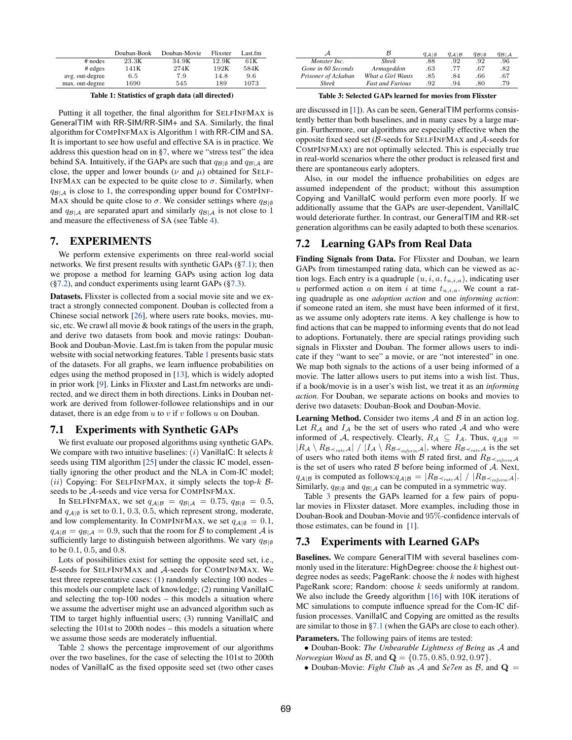<span id="page-9-4"></span>

|                 | Douban-Book | Douban-Movie | Flixster | Last.fm |
|-----------------|-------------|--------------|----------|---------|
| $#$ nodes       | 23.3K       | 34.9K        | 12.9K    | 61 K    |
| $#$ edges       | 141K        | 274K         | 192K     | 584K    |
| avg. out-degree | 6.5         | 7.9          | 14.8     | 9.6     |
| max. out-degree | 1690        | 545          | 189      | 1073    |

Table 1: Statistics of graph data (all directed)

Putting it all together, the final algorithm for SELFINFMAX is GeneralTIM with RR-SIM/RR-SIM+ and SA. Similarly, the final algorithm for COMPINFMAX is Algorithm [1](#page-6-0) with RR-CIM and SA. It is important to see how useful and effective SA is in practice. We address this question head on in [§7,](#page-9-0) where we "stress test" the idea behind SA. Intuitively, if the GAPs are such that  $q_{\mathcal{B}|\emptyset}$  and  $q_{\mathcal{B}|\mathcal{A}}$  are close, the upper and lower bounds ( $\nu$  and  $\mu$ ) obtained for SELF-INFMAX can be expected to be quite close to  $\sigma$ . Similarly, when  $q_{B|A}$  is close to 1, the corresponding upper bound for COMPINF-MAX should be quite close to  $\sigma$ . We consider settings where  $q_{\mathcal{B}|\emptyset}$ and  $q_{\mathcal{B}|A}$  are separated apart and similarly  $q_{\mathcal{B}|A}$  is not close to 1 and measure the effectiveness of SA (see Table [4\)](#page-11-23).

# <span id="page-9-0"></span>7. EXPERIMENTS

We perform extensive experiments on three real-world social networks. We first present results with synthetic GAPs ([§7.1\)](#page-9-1); then we propose a method for learning GAPs using action log data  $(\S7.2)$ , and conduct experiments using learnt GAPs  $(\S7.3)$ .

Datasets. Flixster is collected from a social movie site and we extract a strongly connected component. Douban is collected from a Chinese social network [\[26\]](#page-11-25), where users rate books, movies, music, etc. We crawl all movie & book ratings of the users in the graph, and derive two datasets from book and movie ratings: Douban-Book and Douban-Movie. Last.fm is taken from the popular music website with social networking features. Table [1](#page-9-4) presents basic stats of the datasets. For all graphs, we learn influence probabilities on edges using the method proposed in [\[13\]](#page-11-26), which is widely adopted in prior work [\[9\]](#page-11-0). Links in Flixster and Last.fm networks are undirected, and we direct them in both directions. Links in Douban network are derived from follower-followee relationships and in our dataset, there is an edge from *u* to *v* if *v* follows *u* on Douban.

#### <span id="page-9-1"></span>7.1 Experiments with Synthetic GAPs

We first evaluate our proposed algorithms using synthetic GAPs. We compare with two intuitive baselines: (*i*) VanillaIC: It selects *k* seeds using TIM algorithm [\[25\]](#page-11-12) under the classic IC model, essentially ignoring the other product and the NLA in Com-IC model; ( $ii$ ) Copying: For SELFINFMAX, it simply selects the top- $k$   $\beta$ seeds to be *A*-seeds and vice versa for COMPINFMAX.

In SELFINFMAX, we set  $q_{A|B} = q_{B|A} = 0.75, q_{B|B} = 0.5$ , and  $q_{A|\emptyset}$  is set to 0.1, 0.3, 0.5, which represent strong, moderate, and low complementarity. In COMPINFMAX, we set  $q_{\mathcal{A}|\emptyset} = 0.1$ ,  $q_{A|B} = q_{B|A} = 0.9$ , such that the room for *B* to complement *A* is sufficiently large to distinguish between algorithms. We vary  $q_{B|\emptyset}$ to be 0*.*1, 0*.*5, and 0*.*8.

Lots of possibilities exist for setting the opposite seed set, i.e., *B*-seeds for SELFINFMAX and *A*-seeds for COMPINFMAX. We test three representative cases: (1) randomly selecting 100 nodes – this models our complete lack of knowledge; (2) running VanillaIC and selecting the top-100 nodes – this models a situation where we assume the advertiser might use an advanced algorithm such as TIM to target highly influential users; (3) running VanillaIC and selecting the 101st to 200th nodes – this models a situation where we assume those seeds are moderately influential.

Table [2](#page-10-0) shows the percentage improvement of our algorithms over the two baselines, for the case of selecting the 101st to 200th nodes of VanillaIC as the fixed opposite seed set (two other cases

<span id="page-9-5"></span>

| A                   |                         | $q_{\mathcal{A} \emptyset}$ | $q_{A B}$ | $q_{\mathcal{B} \emptyset}$ | $q_{\mathcal{B} \mathcal{A}}$ |
|---------------------|-------------------------|-----------------------------|-----------|-----------------------------|-------------------------------|
| Monster Inc.        | <b>Shrek</b>            | .88                         | .92       | .92                         | .96                           |
| Gone in 60 Seconds  | Armageddon              | .63                         | .77       | .67                         | .82                           |
| Prisoner of Azkaban | What a Girl Wants       | .85                         | .84       | .66                         | .67                           |
| Shrek               | <b>Fast and Furious</b> | .92                         | .94       | .80                         | .79                           |

Table 3: Selected GAPs learned for movies from Flixster

are discussed in [\[1\]](#page-11-13)). As can be seen, GeneralTIM performs consistently better than both baselines, and in many cases by a large margin. Furthermore, our algorithms are especially effective when the opposite fixed seed set (*B*-seeds for SELFINFMAX and *A*-seeds for COMPINFMAX) are not optimally selected. This is especially true in real-world scenarios where the other product is released first and there are spontaneous early adopters.

Also, in our model the influence probabilities on edges are assumed independent of the product; without this assumption Copying and VanillaIC would perform even more poorly. If we additionally assume that the GAPs are user-dependent, VanillaIC would deteriorate further. In contrast, our GeneralTIM and RR-set generation algorithms can be easily adapted to both these scenarios.

# <span id="page-9-2"></span>7.2 Learning GAPs from Real Data

Finding Signals from Data. For Flixster and Douban, we learn GAPs from timestamped rating data, which can be viewed as action logs. Each entry is a quadruple (*u, i, a, tu,i,a*), indicating user *u* performed action *a* on item *i* at time  $t_{u,i,a}$ . We count a rating quadruple as one *adoption action* and one *informing action*: if someone rated an item, she must have been informed of it first, as we assume only adopters rate items. A key challenge is how to find actions that can be mapped to informing events that do not lead to adoptions. Fortunately, there are special ratings providing such signals in Flixster and Douban. The former allows users to indicate if they "want to see" a movie, or are "not interested" in one. We map both signals to the actions of a user being informed of a movie. The latter allows users to put items into a wish list. Thus, if a book/movie is in a user's wish list, we treat it as an *informing action*. For Douban, we separate actions on books and movies to derive two datasets: Douban-Book and Douban-Movie.

Learning Method. Consider two items *A* and *B* in an action log. Let  $R_A$  and  $I_A$  be the set of users who rated  $A$  and who were informed of *A*, respectively. Clearly,  $R_A \subseteq I_A$ . Thus,  $q_{A|\emptyset} =$  $|R_{\mathcal{A}} \setminus R_{\mathcal{B}\prec_{rate} \mathcal{A}}| / |I_{\mathcal{A}} \setminus R_{\mathcal{B}\prec_{inform} \mathcal{A}}|$ , where  $R_{\mathcal{B}\prec_{rate} \mathcal{A}}$  is the set of users who rated both items with *B* rated first, and  $R_{\mathcal{B}\prec_{\text{inform}}\mathcal{A}}$ is the set of users who rated *B* before being informed of *A*. Next, *q*<sub>*A*|*B*</sub> is computed as follows: $q_{A|B} = |R_{B \prec_{rate} A}| / |R_{B \prec_{inform} A}|$ . Similarly,  $q_{\mathcal{B}|\emptyset}$  and  $q_{\mathcal{B}|\mathcal{A}}$  can be computed in a symmetric way.

Table [3](#page-9-5) presents the GAPs learned for a few pairs of popular movies in Flixster dataset. More examples, including those in Douban-Book and Douban-Movie and 95%-confidence intervals of those estimates, can be found in [\[1\]](#page-11-13).

## <span id="page-9-3"></span>7.3 Experiments with Learned GAPs

Baselines. We compare GeneralTIM with several baselines commonly used in the literature: HighDegree: choose the *k* highest outdegree nodes as seeds; PageRank: choose the *k* nodes with highest PageRank score; Random: choose *k* seeds uniformly at random. We also include the Greedy algorithm [\[16\]](#page-11-1) with 10K iterations of MC simulations to compute influence spread for the Com-IC diffusion processes. VanillaIC and Copying are omitted as the results are similar to those in [§7.1](#page-9-1) (when the GAPs are close to each other).

Parameters. The following pairs of items are tested:

*•* Douban-Book: *The Unbearable Lightness of Being* as *A* and *Norwegian Wood* as *B*, and Q = *{*0*.*75*,* 0*.*85*,* 0*.*92*,* 0*.*97*}*.

• Douban-Movie: *Fight Club* as *A* and *Se7en* as *B*, and  $Q =$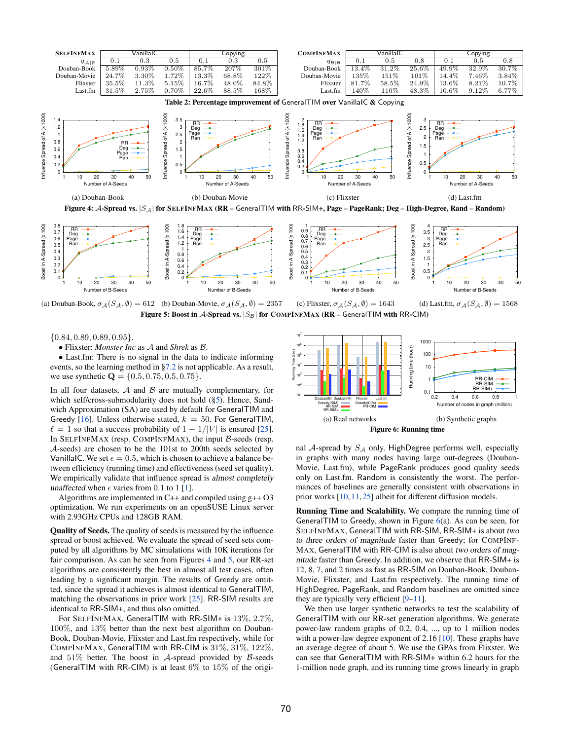<span id="page-10-1"></span><span id="page-10-0"></span>

<span id="page-10-2"></span>Figure 4: *A*-Spread vs. *|SA|* for SELFINFMAX (RR – GeneralTIM with RR-SIM+, Page – PageRank; Deg – High-Degree, Rand – Random)







*{*0*.*84*,* 0*.*89*,* 0*.*89*,* 0*.*95*}*.

*•* Flixster: *Monster Inc* as *A* and *Shrek* as *B*.

*•* Last.fm: There is no signal in the data to indicate informing events, so the learning method in [§7.2](#page-9-2) is not applicable. As a result, we use synthetic Q = *{*0*.*5*,* 0*.*75*,* 0*.*5*,* 0*.*75*}*.

In all four datasets, *A* and *B* are mutually complementary, for which self/cross-submodularity does not hold ([§5\)](#page-3-0). Hence, Sandwich Approximation (SA) are used by default for GeneralTIM and Greedy [\[16\]](#page-11-1). Unless otherwise stated,  $k = 50$ . For GeneralTIM,  $\ell = 1$  so that a success probability of  $1 - 1/|V|$  is ensured [\[25\]](#page-11-12). In SELFINFMAX (resp. COMPINFMAX), the input *B*-seeds (resp. *A*-seeds) are chosen to be the 101st to 200th seeds selected by VanillaIC. We set  $\epsilon = 0.5$ , which is chosen to achieve a balance between efficiency (running time) and effectiveness (seed set quality). We empirically validate that influence spread is *almost completely unaffected* when  $\epsilon$  varies from 0.1 to 1 [\[1\]](#page-11-13).

Algorithms are implemented in C++ and compiled using g++ O3 optimization. We run experiments on an openSUSE Linux server with 2.93GHz CPUs and 128GB RAM.

Quality of Seeds. The quality of seeds is measured by the influence spread or boost achieved. We evaluate the spread of seed sets computed by all algorithms by MC simulations with 10K iterations for fair comparison. As can be seen from Figures [4](#page-10-1) and [5,](#page-10-2) our RR-set algorithms are consistently the best in almost all test cases, often leading by a significant margin. The results of Greedy are omitted, since the spread it achieves is almost identical to GeneralTIM, matching the observations in prior work [\[25\]](#page-11-12). RR-SIM results are identical to RR-SIM+, and thus also omitted.

For SELFINFMAX, GeneralTIM with RR-SIM+ is 13%, 2*.*7%, 100%, and 13% better than the next best algorithm on Douban-Book, Douban-Movie, Flixster and Last.fm respectively, while for COMPINFMAX, GeneralTIM with RR-CIM is 31%, 31%, 122%, and 51% better. The boost in *A*-spread provided by *B*-seeds (GeneralTIM with RR-CIM) is at least  $6\%$  to  $15\%$  of the origi-

<span id="page-10-3"></span>

nal *A*-spread by *S<sup>A</sup>* only. HighDegree performs well, especially in graphs with many nodes having large out-degrees (Douban-Movie, Last.fm), while PageRank produces good quality seeds only on Last.fm. Random is consistently the worst. The performances of baselines are generally consistent with observations in prior works [\[10,](#page-11-14) [11,](#page-11-15) [25\]](#page-11-12) albeit for different diffusion models.

Running Time and Scalability. We compare the running time of GeneralTIM to Greedy, shown in Figure  $6(a)$  $6(a)$ . As can be seen, for SELFINFMAX, GeneralTIM with RR-SIM, RR-SIM+ is about *two to three orders of magnitude* faster than Greedy; for COMPINF-MAX, GeneralTIM with RR-CIM is also about *two orders of magnitude* faster than Greedy. In addition, we observe that RR-SIM+ is 12, 8, 7, and 2 times as fast as RR-SIM on Douban-Book, Douban-Movie, Flixster, and Last.fm respectively. The running time of HighDegree, PageRank, and Random baselines are omitted since they are typically very efficient [\[9–](#page-11-0)[11\]](#page-11-15).

We then use larger synthetic networks to test the scalability of GeneralTIM with our RR-set generation algorithms. We generate power-law random graphs of 0.2, 0.4, ..., up to 1 million nodes with a power-law degree exponent of 2.16 [\[10\]](#page-11-14). These graphs have an average degree of about 5. We use the GPAs from Flixster. We can see that GeneralTIM with RR-SIM+ within 6.2 hours for the 1-million node graph, and its running time grows linearly in graph